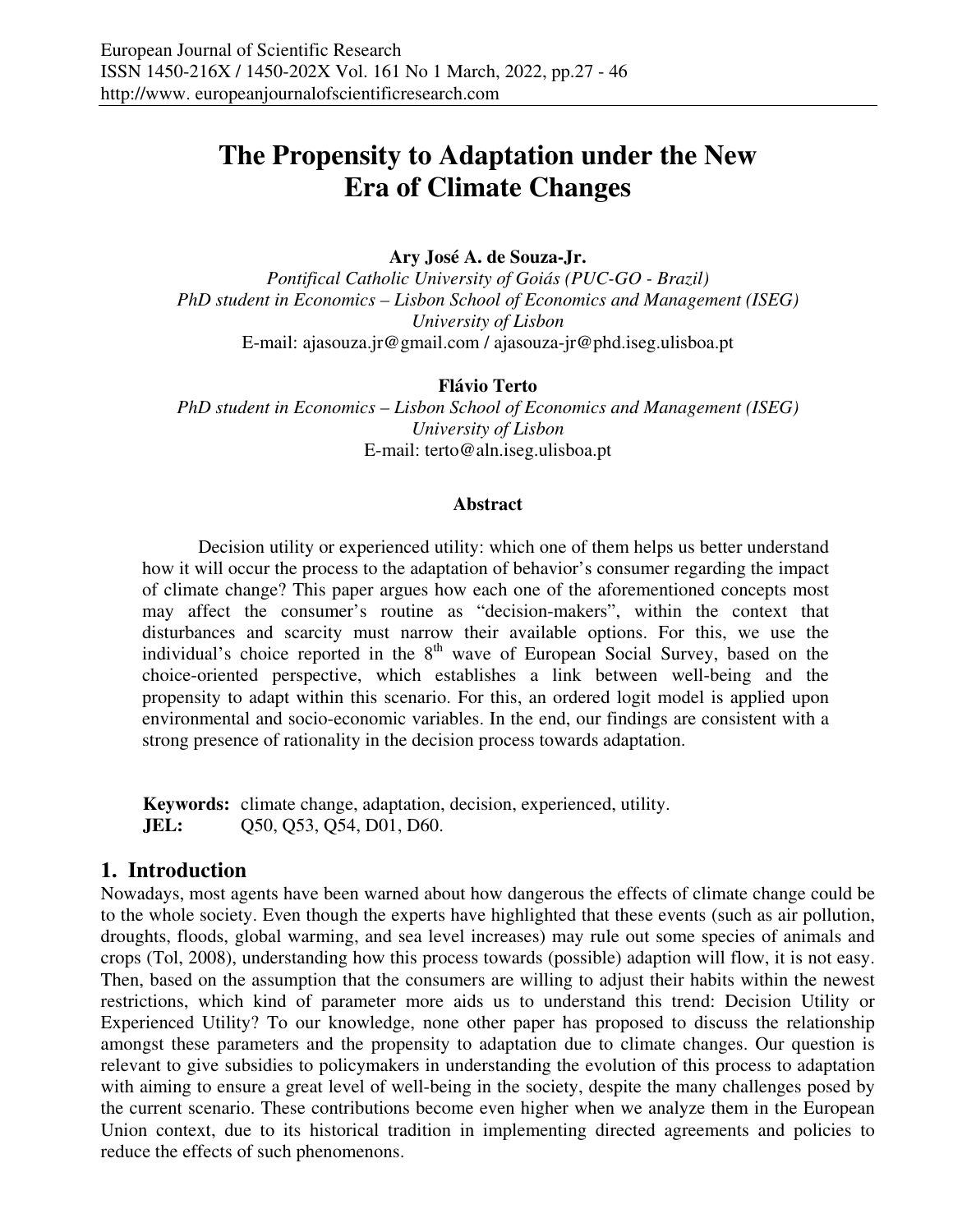# **The Propensity to Adaptation under the New Era of Climate Changes**

# **Ary José A. de Souza-Jr.**

*Pontifical Catholic University of Goiás (PUC-GO - Brazil) PhD student in Economics – Lisbon School of Economics and Management (ISEG) University of Lisbon*  E-mail: ajasouza.jr@gmail.com / ajasouza-jr@phd.iseg.ulisboa.pt

#### **Flávio Terto**

*PhD student in Economics – Lisbon School of Economics and Management (ISEG) University of Lisbon*  E-mail: terto@aln.iseg.ulisboa.pt

#### **Abstract**

Decision utility or experienced utility: which one of them helps us better understand how it will occur the process to the adaptation of behavior's consumer regarding the impact of climate change? This paper argues how each one of the aforementioned concepts most may affect the consumer's routine as "decision-makers", within the context that disturbances and scarcity must narrow their available options. For this, we use the individual's choice reported in the  $8<sup>th</sup>$  wave of European Social Survey, based on the choice-oriented perspective, which establishes a link between well-being and the propensity to adapt within this scenario. For this, an ordered logit model is applied upon environmental and socio-economic variables. In the end, our findings are consistent with a strong presence of rationality in the decision process towards adaptation.

**Keywords:** climate change, adaptation, decision, experienced, utility. **JEL:** Q50, Q53, Q54, D01, D60.

# **1. Introduction**

Nowadays, most agents have been warned about how dangerous the effects of climate change could be to the whole society. Even though the experts have highlighted that these events (such as air pollution, droughts, floods, global warming, and sea level increases) may rule out some species of animals and crops (Tol, 2008), understanding how this process towards (possible) adaption will flow, it is not easy. Then, based on the assumption that the consumers are willing to adjust their habits within the newest restrictions, which kind of parameter more aids us to understand this trend: Decision Utility or Experienced Utility? To our knowledge, none other paper has proposed to discuss the relationship amongst these parameters and the propensity to adaptation due to climate changes. Our question is relevant to give subsidies to policymakers in understanding the evolution of this process to adaptation with aiming to ensure a great level of well-being in the society, despite the many challenges posed by the current scenario. These contributions become even higher when we analyze them in the European Union context, due to its historical tradition in implementing directed agreements and policies to reduce the effects of such phenomenons.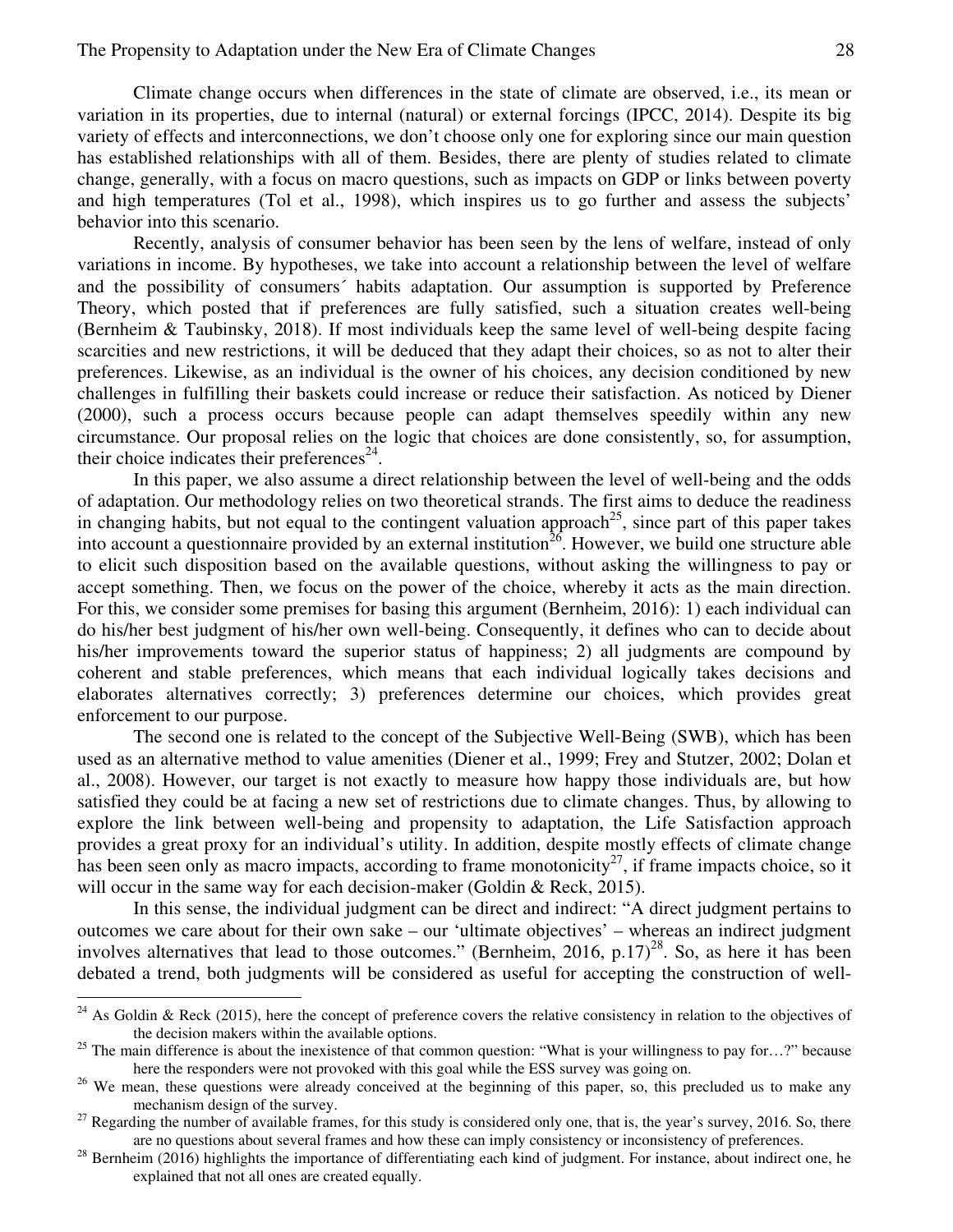Climate change occurs when differences in the state of climate are observed, i.e., its mean or variation in its properties, due to internal (natural) or external forcings (IPCC, 2014). Despite its big variety of effects and interconnections, we don't choose only one for exploring since our main question has established relationships with all of them. Besides, there are plenty of studies related to climate change, generally, with a focus on macro questions, such as impacts on GDP or links between poverty and high temperatures (Tol et al., 1998), which inspires us to go further and assess the subjects' behavior into this scenario.

Recently, analysis of consumer behavior has been seen by the lens of welfare, instead of only variations in income. By hypotheses, we take into account a relationship between the level of welfare and the possibility of consumers´ habits adaptation. Our assumption is supported by Preference Theory, which posted that if preferences are fully satisfied, such a situation creates well-being (Bernheim & Taubinsky, 2018). If most individuals keep the same level of well-being despite facing scarcities and new restrictions, it will be deduced that they adapt their choices, so as not to alter their preferences. Likewise, as an individual is the owner of his choices, any decision conditioned by new challenges in fulfilling their baskets could increase or reduce their satisfaction. As noticed by Diener (2000), such a process occurs because people can adapt themselves speedily within any new circumstance. Our proposal relies on the logic that choices are done consistently, so, for assumption, their choice indicates their preferences $24$ .

In this paper, we also assume a direct relationship between the level of well-being and the odds of adaptation. Our methodology relies on two theoretical strands. The first aims to deduce the readiness in changing habits, but not equal to the contingent valuation approach<sup>25</sup>, since part of this paper takes into account a questionnaire provided by an external institution<sup> $26$ </sup>. However, we build one structure able to elicit such disposition based on the available questions, without asking the willingness to pay or accept something. Then, we focus on the power of the choice, whereby it acts as the main direction. For this, we consider some premises for basing this argument (Bernheim, 2016): 1) each individual can do his/her best judgment of his/her own well-being. Consequently, it defines who can to decide about his/her improvements toward the superior status of happiness; 2) all judgments are compound by coherent and stable preferences, which means that each individual logically takes decisions and elaborates alternatives correctly; 3) preferences determine our choices, which provides great enforcement to our purpose.

The second one is related to the concept of the Subjective Well-Being (SWB), which has been used as an alternative method to value amenities (Diener et al., 1999; Frey and Stutzer, 2002; Dolan et al., 2008). However, our target is not exactly to measure how happy those individuals are, but how satisfied they could be at facing a new set of restrictions due to climate changes. Thus, by allowing to explore the link between well-being and propensity to adaptation, the Life Satisfaction approach provides a great proxy for an individual's utility. In addition, despite mostly effects of climate change has been seen only as macro impacts, according to frame monotonicity<sup>27</sup>, if frame impacts choice, so it will occur in the same way for each decision-maker (Goldin & Reck, 2015).

In this sense, the individual judgment can be direct and indirect: "A direct judgment pertains to outcomes we care about for their own sake – our 'ultimate objectives' – whereas an indirect judgment involves alternatives that lead to those outcomes." (Bernheim, 2016, p.17)<sup>28</sup>. So, as here it has been debated a trend, both judgments will be considered as useful for accepting the construction of well-

 $\overline{a}$ 

 $24$  As Goldin & Reck (2015), here the concept of preference covers the relative consistency in relation to the objectives of the decision makers within the available options.

<sup>&</sup>lt;sup>25</sup> The main difference is about the inexistence of that common question: "What is your willingness to pay for...?" because here the responders were not provoked with this goal while the ESS survey was going on.

<sup>&</sup>lt;sup>26</sup> We mean, these questions were already conceived at the beginning of this paper, so, this precluded us to make any mechanism design of the survey.

<sup>&</sup>lt;sup>27</sup> Regarding the number of available frames, for this study is considered only one, that is, the year's survey, 2016. So, there are no questions about several frames and how these can imply consistency or inconsistency of preferences.

 $^{28}$  Bernheim (2016) highlights the importance of differentiating each kind of judgment. For instance, about indirect one, he explained that not all ones are created equally.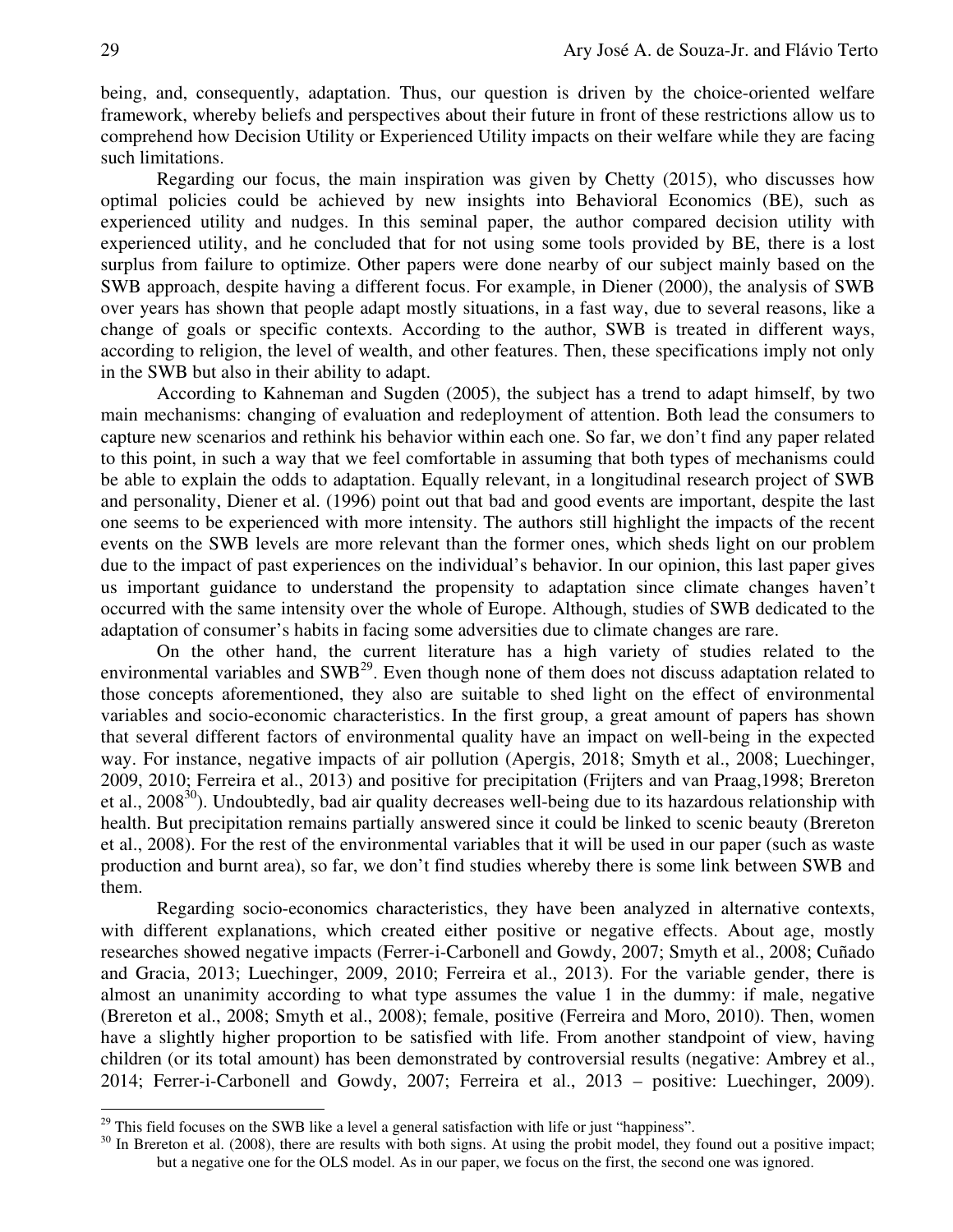being, and, consequently, adaptation. Thus, our question is driven by the choice-oriented welfare framework, whereby beliefs and perspectives about their future in front of these restrictions allow us to comprehend how Decision Utility or Experienced Utility impacts on their welfare while they are facing such limitations.

Regarding our focus, the main inspiration was given by Chetty (2015), who discusses how optimal policies could be achieved by new insights into Behavioral Economics (BE), such as experienced utility and nudges. In this seminal paper, the author compared decision utility with experienced utility, and he concluded that for not using some tools provided by BE, there is a lost surplus from failure to optimize. Other papers were done nearby of our subject mainly based on the SWB approach, despite having a different focus. For example, in Diener (2000), the analysis of SWB over years has shown that people adapt mostly situations, in a fast way, due to several reasons, like a change of goals or specific contexts. According to the author, SWB is treated in different ways, according to religion, the level of wealth, and other features. Then, these specifications imply not only in the SWB but also in their ability to adapt.

According to Kahneman and Sugden (2005), the subject has a trend to adapt himself, by two main mechanisms: changing of evaluation and redeployment of attention. Both lead the consumers to capture new scenarios and rethink his behavior within each one. So far, we don't find any paper related to this point, in such a way that we feel comfortable in assuming that both types of mechanisms could be able to explain the odds to adaptation. Equally relevant, in a longitudinal research project of SWB and personality, Diener et al. (1996) point out that bad and good events are important, despite the last one seems to be experienced with more intensity. The authors still highlight the impacts of the recent events on the SWB levels are more relevant than the former ones, which sheds light on our problem due to the impact of past experiences on the individual's behavior. In our opinion, this last paper gives us important guidance to understand the propensity to adaptation since climate changes haven't occurred with the same intensity over the whole of Europe. Although, studies of SWB dedicated to the adaptation of consumer's habits in facing some adversities due to climate changes are rare.

On the other hand, the current literature has a high variety of studies related to the environmental variables and SWB<sup>29</sup>. Even though none of them does not discuss adaptation related to those concepts aforementioned, they also are suitable to shed light on the effect of environmental variables and socio-economic characteristics. In the first group, a great amount of papers has shown that several different factors of environmental quality have an impact on well-being in the expected way. For instance, negative impacts of air pollution (Apergis, 2018; Smyth et al., 2008; Luechinger, 2009, 2010; Ferreira et al., 2013) and positive for precipitation (Frijters and van Praag,1998; Brereton et al.,  $2008^{30}$ ). Undoubtedly, bad air quality decreases well-being due to its hazardous relationship with health. But precipitation remains partially answered since it could be linked to scenic beauty (Brereton et al., 2008). For the rest of the environmental variables that it will be used in our paper (such as waste production and burnt area), so far, we don't find studies whereby there is some link between SWB and them.

Regarding socio-economics characteristics, they have been analyzed in alternative contexts, with different explanations, which created either positive or negative effects. About age, mostly researches showed negative impacts (Ferrer-i-Carbonell and Gowdy, 2007; Smyth et al., 2008; Cuñado and Gracia, 2013; Luechinger, 2009, 2010; Ferreira et al., 2013). For the variable gender, there is almost an unanimity according to what type assumes the value 1 in the dummy: if male, negative (Brereton et al., 2008; Smyth et al., 2008); female, positive (Ferreira and Moro, 2010). Then, women have a slightly higher proportion to be satisfied with life. From another standpoint of view, having children (or its total amount) has been demonstrated by controversial results (negative: Ambrey et al., 2014; Ferrer-i-Carbonell and Gowdy, 2007; Ferreira et al., 2013 – positive: Luechinger, 2009).

 $29$  This field focuses on the SWB like a level a general satisfaction with life or just "happiness".

 $30$  In Brereton et al. (2008), there are results with both signs. At using the probit model, they found out a positive impact; but a negative one for the OLS model. As in our paper, we focus on the first, the second one was ignored.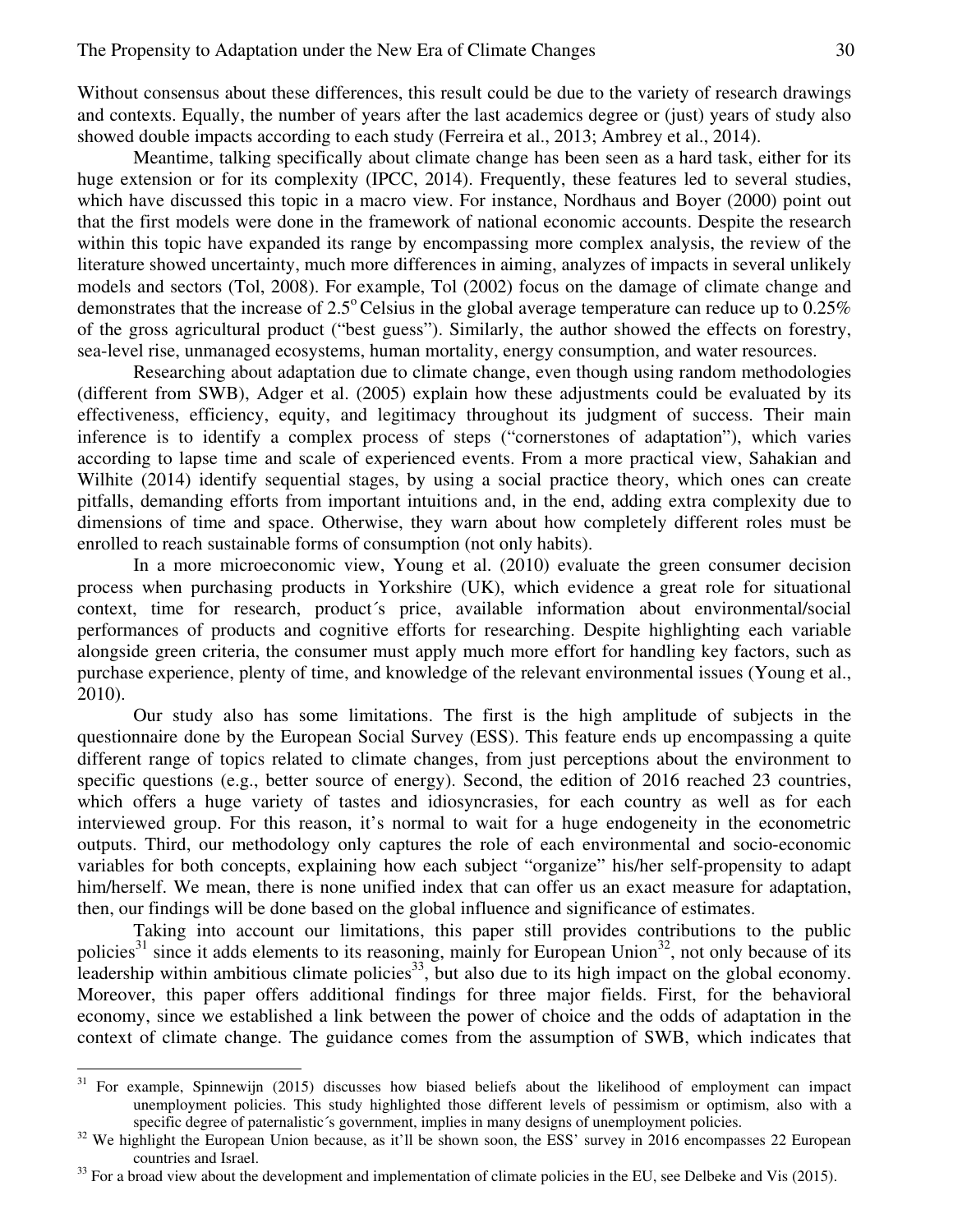Without consensus about these differences, this result could be due to the variety of research drawings and contexts. Equally, the number of years after the last academics degree or (just) years of study also showed double impacts according to each study (Ferreira et al., 2013; Ambrey et al., 2014).

Meantime, talking specifically about climate change has been seen as a hard task, either for its huge extension or for its complexity (IPCC, 2014). Frequently, these features led to several studies, which have discussed this topic in a macro view. For instance, Nordhaus and Boyer (2000) point out that the first models were done in the framework of national economic accounts. Despite the research within this topic have expanded its range by encompassing more complex analysis, the review of the literature showed uncertainty, much more differences in aiming, analyzes of impacts in several unlikely models and sectors (Tol, 2008). For example, Tol (2002) focus on the damage of climate change and demonstrates that the increase of  $2.5^{\circ}$  Celsius in the global average temperature can reduce up to 0.25% of the gross agricultural product ("best guess"). Similarly, the author showed the effects on forestry, sea-level rise, unmanaged ecosystems, human mortality, energy consumption, and water resources.

Researching about adaptation due to climate change, even though using random methodologies (different from SWB), Adger et al. (2005) explain how these adjustments could be evaluated by its effectiveness, efficiency, equity, and legitimacy throughout its judgment of success. Their main inference is to identify a complex process of steps ("cornerstones of adaptation"), which varies according to lapse time and scale of experienced events. From a more practical view, Sahakian and Wilhite (2014) identify sequential stages, by using a social practice theory, which ones can create pitfalls, demanding efforts from important intuitions and, in the end, adding extra complexity due to dimensions of time and space. Otherwise, they warn about how completely different roles must be enrolled to reach sustainable forms of consumption (not only habits).

In a more microeconomic view, Young et al. (2010) evaluate the green consumer decision process when purchasing products in Yorkshire (UK), which evidence a great role for situational context, time for research, product´s price, available information about environmental/social performances of products and cognitive efforts for researching. Despite highlighting each variable alongside green criteria, the consumer must apply much more effort for handling key factors, such as purchase experience, plenty of time, and knowledge of the relevant environmental issues (Young et al., 2010).

Our study also has some limitations. The first is the high amplitude of subjects in the questionnaire done by the European Social Survey (ESS). This feature ends up encompassing a quite different range of topics related to climate changes, from just perceptions about the environment to specific questions (e.g., better source of energy). Second, the edition of 2016 reached 23 countries, which offers a huge variety of tastes and idiosyncrasies, for each country as well as for each interviewed group. For this reason, it's normal to wait for a huge endogeneity in the econometric outputs. Third, our methodology only captures the role of each environmental and socio-economic variables for both concepts, explaining how each subject "organize" his/her self-propensity to adapt him/herself. We mean, there is none unified index that can offer us an exact measure for adaptation, then, our findings will be done based on the global influence and significance of estimates.

Taking into account our limitations, this paper still provides contributions to the public policies<sup>31</sup> since it adds elements to its reasoning, mainly for European Union<sup>32</sup>, not only because of its leadership within ambitious climate policies<sup>33</sup>, but also due to its high impact on the global economy. Moreover, this paper offers additional findings for three major fields. First, for the behavioral economy, since we established a link between the power of choice and the odds of adaptation in the context of climate change. The guidance comes from the assumption of SWB, which indicates that

 $\overline{a}$ 

<sup>&</sup>lt;sup>31</sup> For example, Spinnewijn (2015) discusses how biased beliefs about the likelihood of employment can impact unemployment policies. This study highlighted those different levels of pessimism or optimism, also with a specific degree of paternalistic's government, implies in many designs of unemployment policies.

<sup>&</sup>lt;sup>32</sup> We highlight the European Union because, as it'll be shown soon, the ESS' survey in 2016 encompasses 22 European countries and Israel.

 $33$  For a broad view about the development and implementation of climate policies in the EU, see Delbeke and Vis (2015).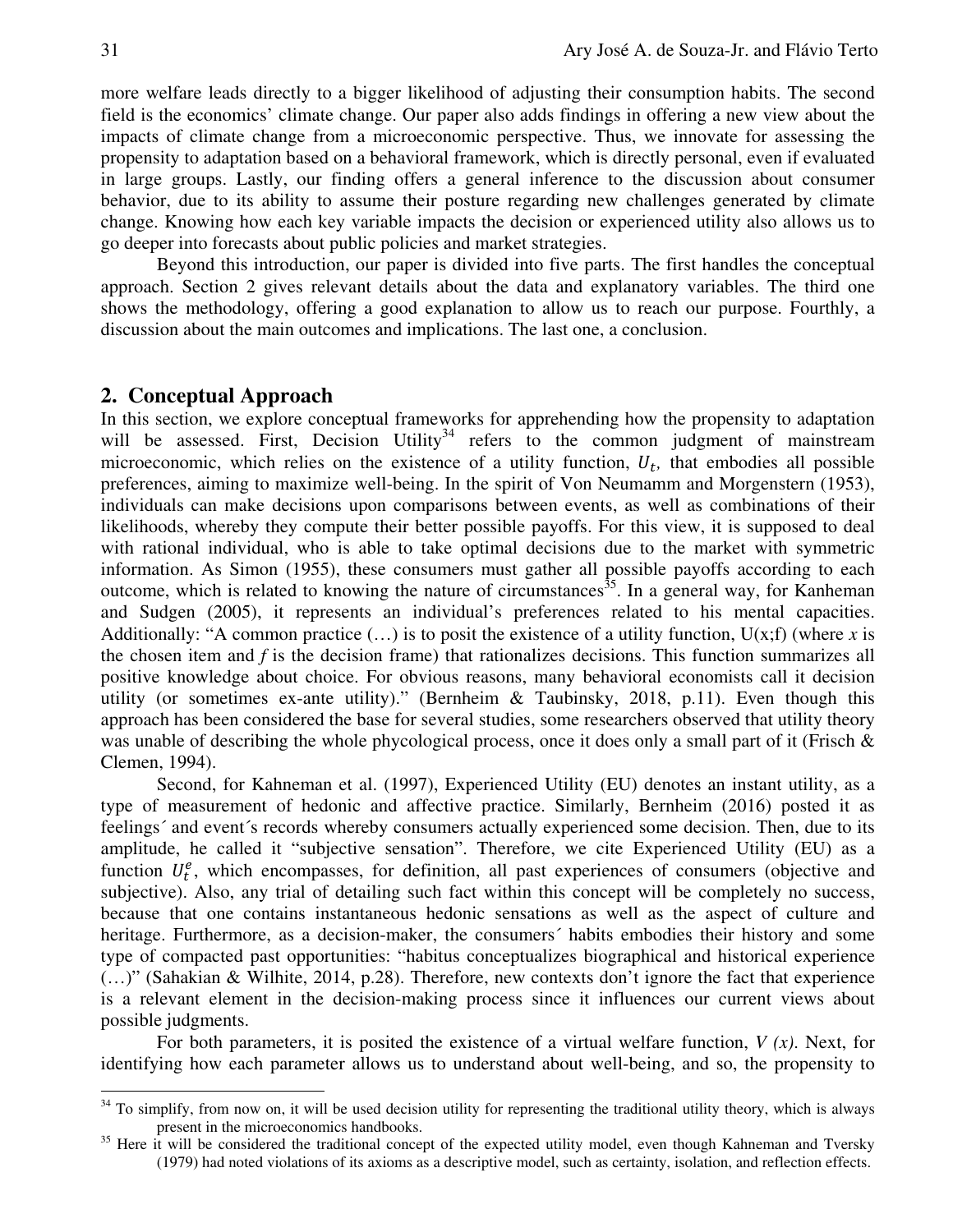more welfare leads directly to a bigger likelihood of adjusting their consumption habits. The second field is the economics' climate change. Our paper also adds findings in offering a new view about the impacts of climate change from a microeconomic perspective. Thus, we innovate for assessing the propensity to adaptation based on a behavioral framework, which is directly personal, even if evaluated in large groups. Lastly, our finding offers a general inference to the discussion about consumer behavior, due to its ability to assume their posture regarding new challenges generated by climate change. Knowing how each key variable impacts the decision or experienced utility also allows us to go deeper into forecasts about public policies and market strategies.

Beyond this introduction, our paper is divided into five parts. The first handles the conceptual approach. Section 2 gives relevant details about the data and explanatory variables. The third one shows the methodology, offering a good explanation to allow us to reach our purpose. Fourthly, a discussion about the main outcomes and implications. The last one, a conclusion.

## **2. Conceptual Approach**

In this section, we explore conceptual frameworks for apprehending how the propensity to adaptation will be assessed. First, Decision Utility<sup>34</sup> refers to the common judgment of mainstream microeconomic, which relies on the existence of a utility function,  $U_t$ , that embodies all possible preferences, aiming to maximize well-being. In the spirit of Von Neumamm and Morgenstern (1953), individuals can make decisions upon comparisons between events, as well as combinations of their likelihoods, whereby they compute their better possible payoffs. For this view, it is supposed to deal with rational individual, who is able to take optimal decisions due to the market with symmetric information. As Simon (1955), these consumers must gather all possible payoffs according to each outcome, which is related to knowing the nature of circumstances<sup>35</sup>. In a general way, for Kanheman and Sudgen (2005), it represents an individual's preferences related to his mental capacities. Additionally: "A common practice  $(\ldots)$  is to posit the existence of a utility function,  $U(x;f)$  (where x is the chosen item and *f* is the decision frame) that rationalizes decisions. This function summarizes all positive knowledge about choice. For obvious reasons, many behavioral economists call it decision utility (or sometimes ex-ante utility)." (Bernheim & Taubinsky, 2018, p.11). Even though this approach has been considered the base for several studies, some researchers observed that utility theory was unable of describing the whole phycological process, once it does only a small part of it (Frisch & Clemen, 1994).

Second, for Kahneman et al. (1997), Experienced Utility (EU) denotes an instant utility, as a type of measurement of hedonic and affective practice. Similarly, Bernheim (2016) posted it as feelings´ and event´s records whereby consumers actually experienced some decision. Then, due to its amplitude, he called it "subjective sensation". Therefore, we cite Experienced Utility (EU) as a function  $U_t^e$ , which encompasses, for definition, all past experiences of consumers (objective and subjective). Also, any trial of detailing such fact within this concept will be completely no success, because that one contains instantaneous hedonic sensations as well as the aspect of culture and heritage. Furthermore, as a decision-maker, the consumers´ habits embodies their history and some type of compacted past opportunities: "habitus conceptualizes biographical and historical experience (…)" (Sahakian & Wilhite, 2014, p.28). Therefore, new contexts don't ignore the fact that experience is a relevant element in the decision-making process since it influences our current views about possible judgments.

For both parameters, it is posited the existence of a virtual welfare function, *V (x)*. Next, for identifying how each parameter allows us to understand about well-being, and so, the propensity to

 $34$  To simplify, from now on, it will be used decision utility for representing the traditional utility theory, which is always present in the microeconomics handbooks.

<sup>&</sup>lt;sup>35</sup> Here it will be considered the traditional concept of the expected utility model, even though Kahneman and Tversky (1979) had noted violations of its axioms as a descriptive model, such as certainty, isolation, and reflection effects.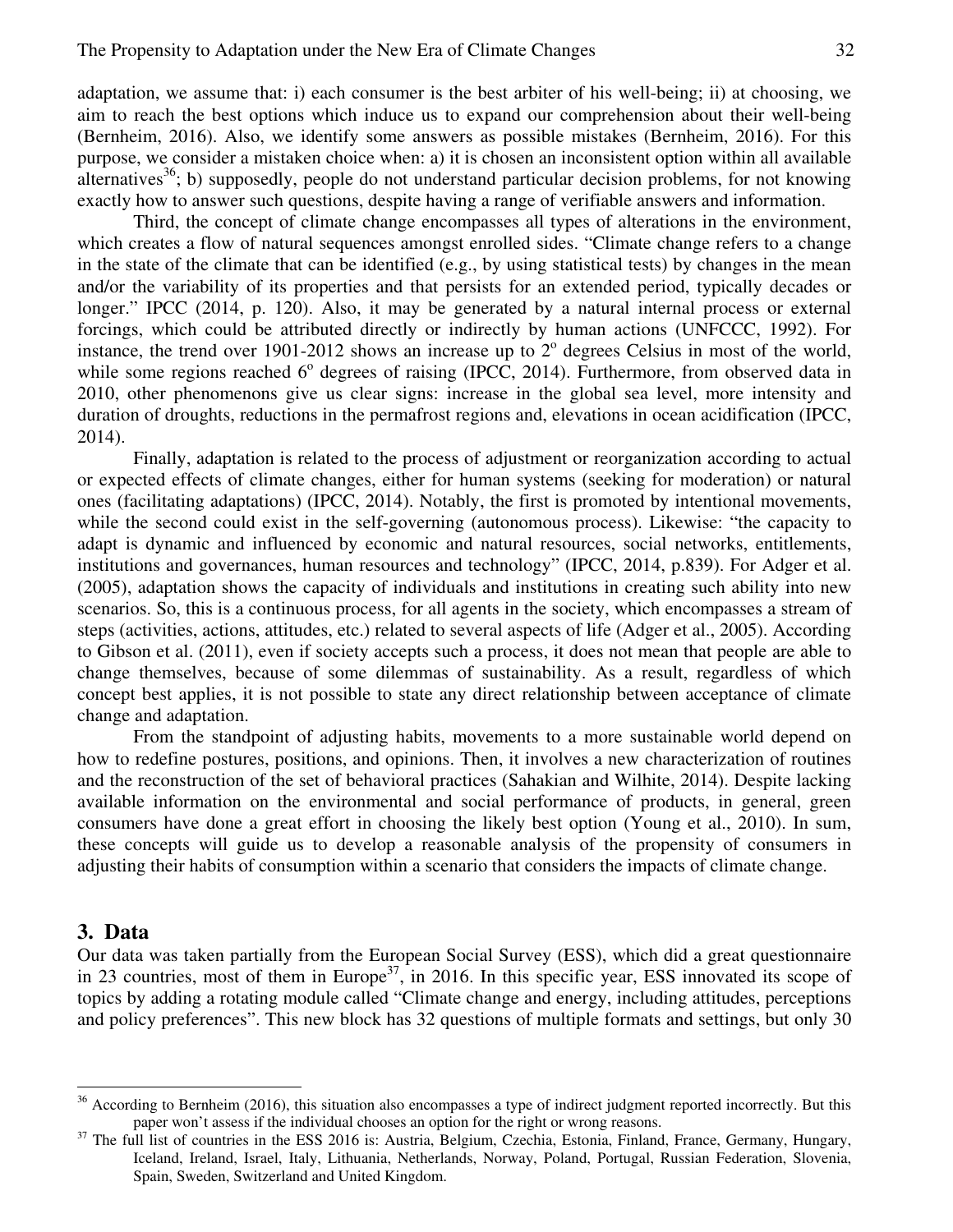adaptation, we assume that: i) each consumer is the best arbiter of his well-being; ii) at choosing, we aim to reach the best options which induce us to expand our comprehension about their well-being (Bernheim, 2016). Also, we identify some answers as possible mistakes (Bernheim, 2016). For this purpose, we consider a mistaken choice when: a) it is chosen an inconsistent option within all available alternatives<sup>36</sup>; b) supposedly, people do not understand particular decision problems, for not knowing exactly how to answer such questions, despite having a range of verifiable answers and information.

Third, the concept of climate change encompasses all types of alterations in the environment, which creates a flow of natural sequences amongst enrolled sides. "Climate change refers to a change in the state of the climate that can be identified (e.g., by using statistical tests) by changes in the mean and/or the variability of its properties and that persists for an extended period, typically decades or longer." IPCC (2014, p. 120). Also, it may be generated by a natural internal process or external forcings, which could be attributed directly or indirectly by human actions (UNFCCC, 1992). For instance, the trend over 1901-2012 shows an increase up to  $2^{\circ}$  degrees Celsius in most of the world, while some regions reached  $6^{\circ}$  degrees of raising (IPCC, 2014). Furthermore, from observed data in 2010, other phenomenons give us clear signs: increase in the global sea level, more intensity and duration of droughts, reductions in the permafrost regions and, elevations in ocean acidification (IPCC, 2014).

Finally, adaptation is related to the process of adjustment or reorganization according to actual or expected effects of climate changes, either for human systems (seeking for moderation) or natural ones (facilitating adaptations) (IPCC, 2014). Notably, the first is promoted by intentional movements, while the second could exist in the self-governing (autonomous process). Likewise: "the capacity to adapt is dynamic and influenced by economic and natural resources, social networks, entitlements, institutions and governances, human resources and technology" (IPCC, 2014, p.839). For Adger et al. (2005), adaptation shows the capacity of individuals and institutions in creating such ability into new scenarios. So, this is a continuous process, for all agents in the society, which encompasses a stream of steps (activities, actions, attitudes, etc.) related to several aspects of life (Adger et al., 2005). According to Gibson et al. (2011), even if society accepts such a process, it does not mean that people are able to change themselves, because of some dilemmas of sustainability. As a result, regardless of which concept best applies, it is not possible to state any direct relationship between acceptance of climate change and adaptation.

From the standpoint of adjusting habits, movements to a more sustainable world depend on how to redefine postures, positions, and opinions. Then, it involves a new characterization of routines and the reconstruction of the set of behavioral practices (Sahakian and Wilhite, 2014). Despite lacking available information on the environmental and social performance of products, in general, green consumers have done a great effort in choosing the likely best option (Young et al., 2010). In sum, these concepts will guide us to develop a reasonable analysis of the propensity of consumers in adjusting their habits of consumption within a scenario that considers the impacts of climate change.

### **3. Data**

 $\overline{a}$ 

Our data was taken partially from the European Social Survey (ESS), which did a great questionnaire in 23 countries, most of them in Europe<sup>37</sup>, in 2016. In this specific year, ESS innovated its scope of topics by adding a rotating module called "Climate change and energy, including attitudes, perceptions and policy preferences". This new block has 32 questions of multiple formats and settings, but only 30

 $36$  According to Bernheim (2016), this situation also encompasses a type of indirect judgment reported incorrectly. But this paper won't assess if the individual chooses an option for the right or wrong reasons.

 $37$  The full list of countries in the ESS 2016 is: Austria, Belgium, Czechia, Estonia, Finland, France, Germany, Hungary, Iceland, Ireland, Israel, Italy, Lithuania, Netherlands, Norway, Poland, Portugal, Russian Federation, Slovenia, Spain, Sweden, Switzerland and United Kingdom.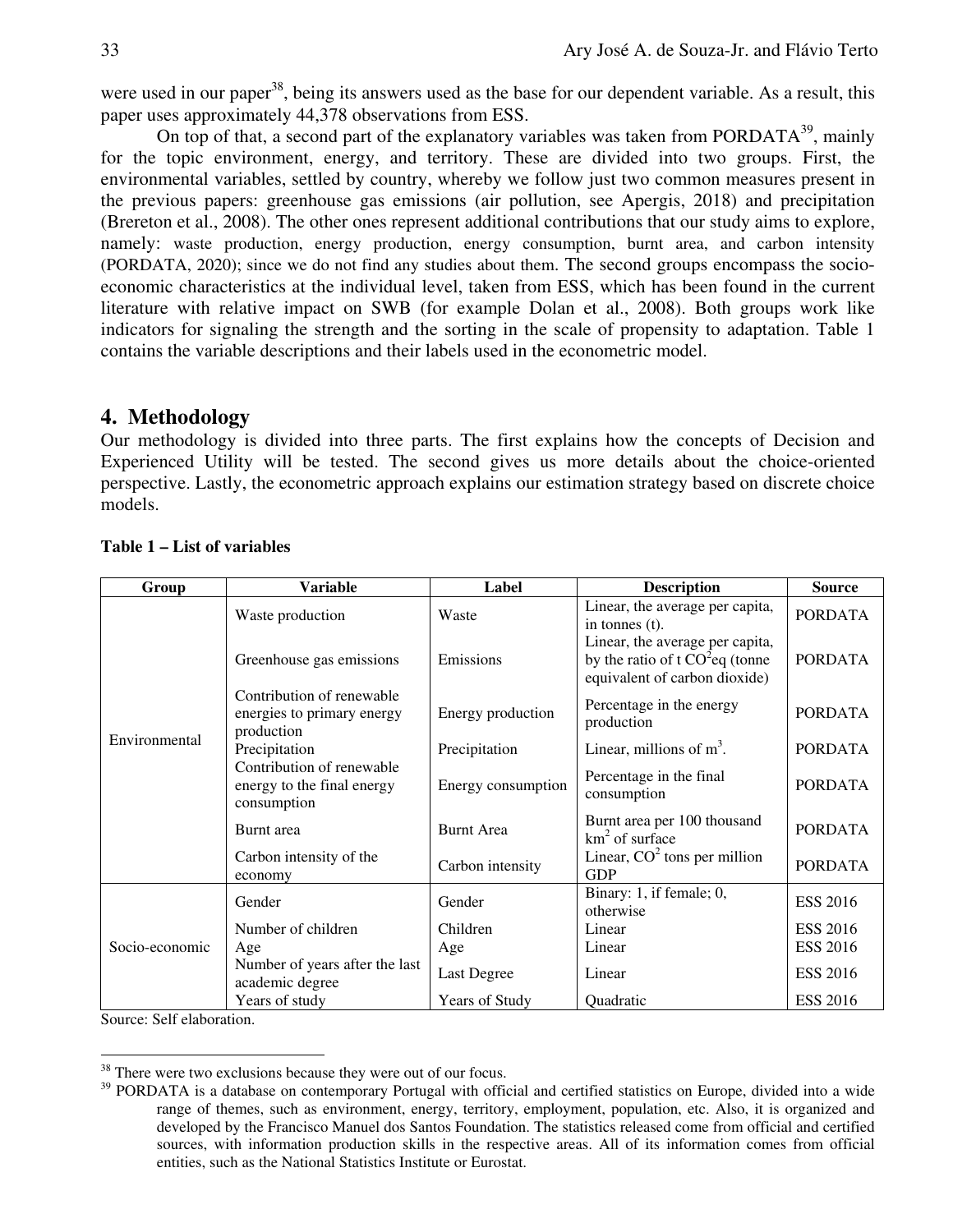were used in our paper<sup>38</sup>, being its answers used as the base for our dependent variable. As a result, this paper uses approximately 44,378 observations from ESS.

On top of that, a second part of the explanatory variables was taken from PORDATA $^{39}$ , mainly for the topic environment, energy, and territory. These are divided into two groups. First, the environmental variables, settled by country, whereby we follow just two common measures present in the previous papers: greenhouse gas emissions (air pollution, see Apergis, 2018) and precipitation (Brereton et al., 2008). The other ones represent additional contributions that our study aims to explore, namely: waste production, energy production, energy consumption, burnt area, and carbon intensity (PORDATA, 2020); since we do not find any studies about them. The second groups encompass the socioeconomic characteristics at the individual level, taken from ESS, which has been found in the current literature with relative impact on SWB (for example Dolan et al., 2008). Both groups work like indicators for signaling the strength and the sorting in the scale of propensity to adaptation. Table 1 contains the variable descriptions and their labels used in the econometric model.

# **4. Methodology**

Our methodology is divided into three parts. The first explains how the concepts of Decision and Experienced Utility will be tested. The second gives us more details about the choice-oriented perspective. Lastly, the econometric approach explains our estimation strategy based on discrete choice models.

| Group          | <b>Variable</b>                                                        | Label              | <b>Description</b>                                                                                    | <b>Source</b>   |
|----------------|------------------------------------------------------------------------|--------------------|-------------------------------------------------------------------------------------------------------|-----------------|
| Environmental  | Waste production                                                       | Waste              | Linear, the average per capita,<br>in tonnes $(t)$ .                                                  | <b>PORDATA</b>  |
|                | Greenhouse gas emissions                                               | Emissions          | Linear, the average per capita,<br>by the ratio of t $CO2$ eq (tonne<br>equivalent of carbon dioxide) | <b>PORDATA</b>  |
|                | Contribution of renewable<br>energies to primary energy<br>production  | Energy production  | Percentage in the energy<br>production                                                                | <b>PORDATA</b>  |
|                | Precipitation                                                          | Precipitation      | Linear, millions of $m3$ .                                                                            | <b>PORDATA</b>  |
|                | Contribution of renewable<br>energy to the final energy<br>consumption | Energy consumption | Percentage in the final<br>consumption                                                                | <b>PORDATA</b>  |
|                | Burnt area                                                             | <b>Burnt Area</b>  | Burnt area per 100 thousand<br>$km2$ of surface                                                       | <b>PORDATA</b>  |
|                | Carbon intensity of the<br>economy                                     | Carbon intensity   | Linear, $CO2$ tons per million<br><b>GDP</b>                                                          | <b>PORDATA</b>  |
| Socio-economic | Gender                                                                 | Gender             | Binary: 1, if female; 0,<br>otherwise                                                                 | <b>ESS 2016</b> |
|                | Number of children                                                     | Children           | Linear                                                                                                | <b>ESS 2016</b> |
|                | Age                                                                    | Age                | Linear                                                                                                | <b>ESS 2016</b> |
|                | Number of years after the last<br>academic degree                      | <b>Last Degree</b> | Linear                                                                                                | <b>ESS 2016</b> |
|                | Years of study                                                         | Years of Study     | Quadratic                                                                                             | <b>ESS 2016</b> |

# **Table 1 – List of variables**

Source: Self elaboration.

<sup>-</sup><sup>38</sup> There were two exclusions because they were out of our focus.

<sup>&</sup>lt;sup>39</sup> PORDATA is a database on contemporary Portugal with official and certified statistics on Europe, divided into a wide range of themes, such as environment, energy, territory, employment, population, etc. Also, it is organized and developed by the Francisco Manuel dos Santos Foundation. The statistics released come from official and certified sources, with information production skills in the respective areas. All of its information comes from official entities, such as the National Statistics Institute or Eurostat.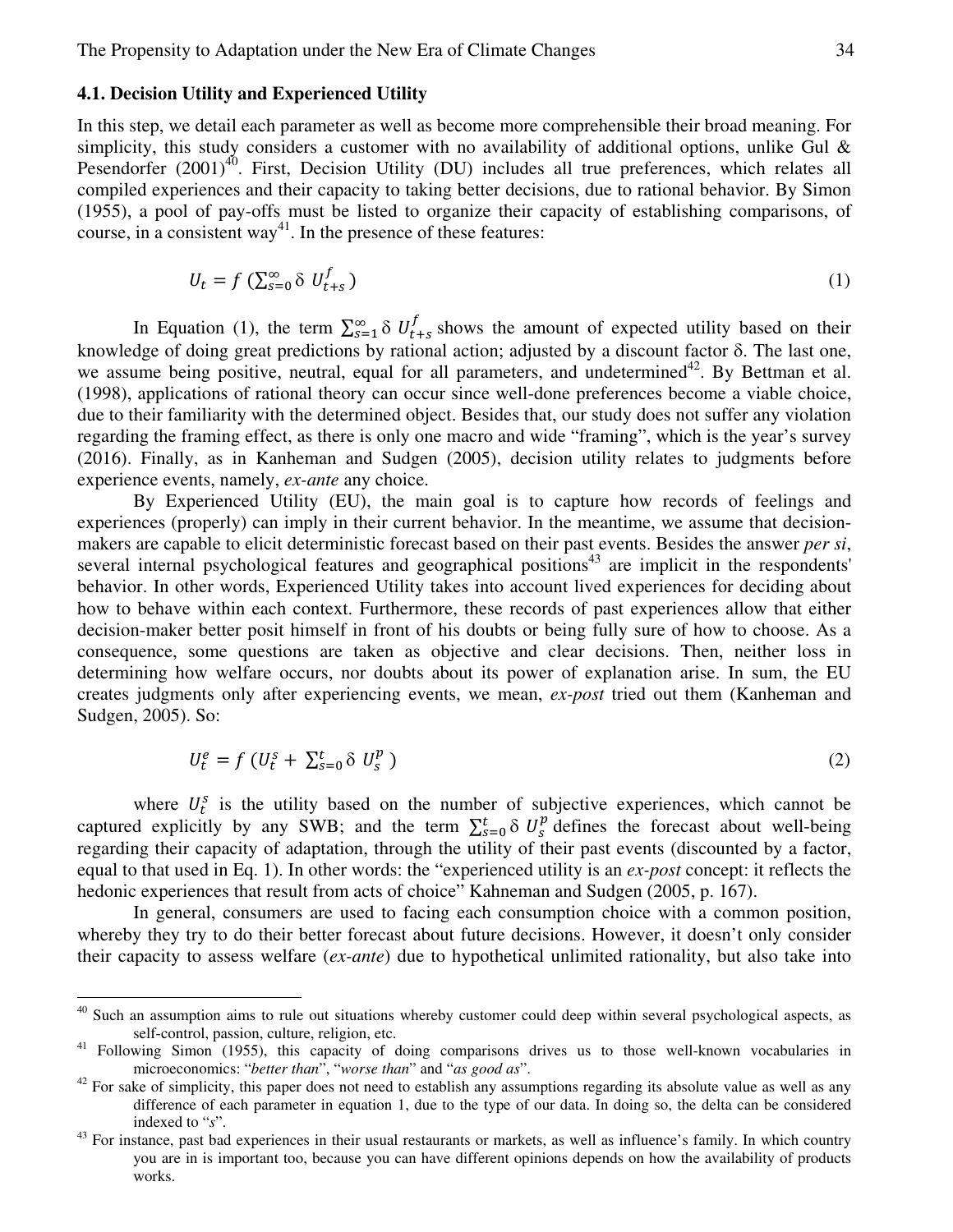#### **4.1. Decision Utility and Experienced Utility**

 $\overline{a}$ 

In this step, we detail each parameter as well as become more comprehensible their broad meaning. For simplicity, this study considers a customer with no availability of additional options, unlike Gul & Pesendorfer (2001)<sup>40</sup>. First, Decision Utility (DU) includes all true preferences, which relates all compiled experiences and their capacity to taking better decisions, due to rational behavior. By Simon (1955), a pool of pay-offs must be listed to organize their capacity of establishing comparisons, of course, in a consistent way<sup>41</sup>. In the presence of these features:

$$
U_t = f\left(\sum_{s=0}^{\infty} \delta \ U_{t+s}^f\right) \tag{1}
$$

In Equation (1), the term  $\sum_{s=1}^{\infty} \delta U_{t+s}^f$  $s_{t+s}$  shows the amount of expected utility based on their knowledge of doing great predictions by rational action; adjusted by a discount factor  $\delta$ . The last one, we assume being positive, neutral, equal for all parameters, and undetermined<sup>42</sup>. By Bettman et al. (1998), applications of rational theory can occur since well-done preferences become a viable choice, due to their familiarity with the determined object. Besides that, our study does not suffer any violation regarding the framing effect, as there is only one macro and wide "framing", which is the year's survey (2016). Finally, as in Kanheman and Sudgen (2005), decision utility relates to judgments before experience events, namely, *ex-ante* any choice.

By Experienced Utility (EU), the main goal is to capture how records of feelings and experiences (properly) can imply in their current behavior. In the meantime, we assume that decisionmakers are capable to elicit deterministic forecast based on their past events. Besides the answer *per si*, several internal psychological features and geographical positions<sup>43</sup> are implicit in the respondents' behavior. In other words, Experienced Utility takes into account lived experiences for deciding about how to behave within each context. Furthermore, these records of past experiences allow that either decision-maker better posit himself in front of his doubts or being fully sure of how to choose. As a consequence, some questions are taken as objective and clear decisions. Then, neither loss in determining how welfare occurs, nor doubts about its power of explanation arise. In sum, the EU creates judgments only after experiencing events, we mean, *ex-post* tried out them (Kanheman and Sudgen, 2005). So:

$$
U_t^e = f\left(U_t^s + \sum_{s=0}^t \delta \ U_s^p\right) \tag{2}
$$

where  $U_t^s$  is the utility based on the number of subjective experiences, which cannot be captured explicitly by any SWB; and the term  $\sum_{s=0}^{t} \delta U_s^p$  defines the forecast about well-being regarding their capacity of adaptation, through the utility of their past events (discounted by a factor, equal to that used in Eq. 1). In other words: the "experienced utility is an *ex-post* concept: it reflects the hedonic experiences that result from acts of choice" Kahneman and Sudgen (2005, p. 167).

In general, consumers are used to facing each consumption choice with a common position, whereby they try to do their better forecast about future decisions. However, it doesn't only consider their capacity to assess welfare (*ex-ante*) due to hypothetical unlimited rationality, but also take into

Such an assumption aims to rule out situations whereby customer could deep within several psychological aspects, as self-control, passion, culture, religion, etc.

<sup>41</sup> Following Simon (1955), this capacity of doing comparisons drives us to those well-known vocabularies in microeconomics: "*better than*", "*worse than*" and "*as good as*".

 $42$  For sake of simplicity, this paper does not need to establish any assumptions regarding its absolute value as well as any difference of each parameter in equation 1, due to the type of our data. In doing so, the delta can be considered indexed to "*s*".

<sup>&</sup>lt;sup>43</sup> For instance, past bad experiences in their usual restaurants or markets, as well as influence's family. In which country you are in is important too, because you can have different opinions depends on how the availability of products works.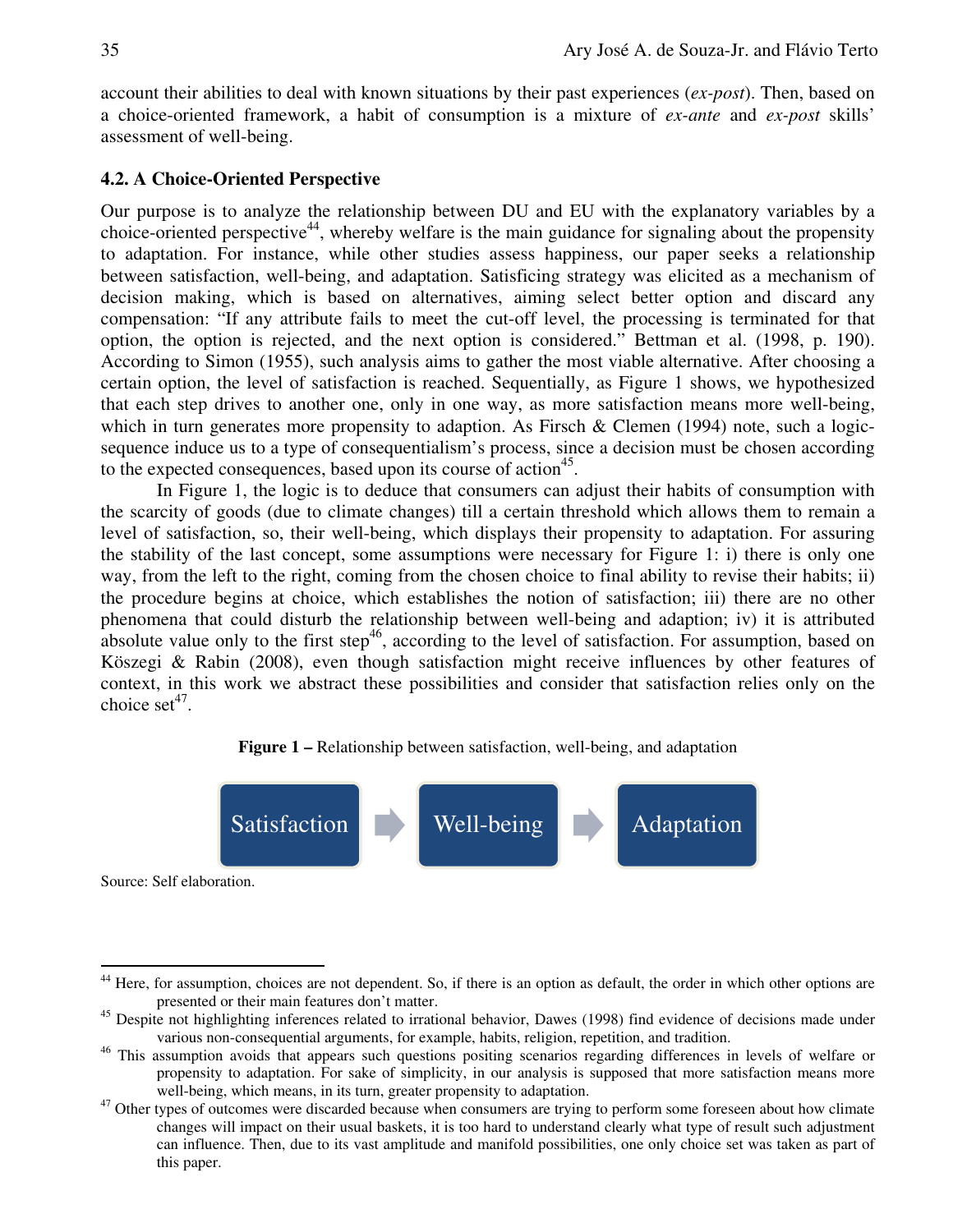account their abilities to deal with known situations by their past experiences (*ex-post*). Then, based on a choice-oriented framework, a habit of consumption is a mixture of *ex-ante* and *ex-post* skills' assessment of well-being.

## **4.2. A Choice-Oriented Perspective**

Our purpose is to analyze the relationship between DU and EU with the explanatory variables by a choice-oriented perspective<sup>44</sup>, whereby welfare is the main guidance for signaling about the propensity to adaptation. For instance, while other studies assess happiness, our paper seeks a relationship between satisfaction, well-being, and adaptation. Satisficing strategy was elicited as a mechanism of decision making, which is based on alternatives, aiming select better option and discard any compensation: "If any attribute fails to meet the cut-off level, the processing is terminated for that option, the option is rejected, and the next option is considered." Bettman et al. (1998, p. 190). According to Simon (1955), such analysis aims to gather the most viable alternative. After choosing a certain option, the level of satisfaction is reached. Sequentially, as Figure 1 shows, we hypothesized that each step drives to another one, only in one way, as more satisfaction means more well-being, which in turn generates more propensity to adaption. As Firsch  $&$  Clemen (1994) note, such a logicsequence induce us to a type of consequentialism's process, since a decision must be chosen according to the expected consequences, based upon its course of action<sup>45</sup>.

In Figure 1, the logic is to deduce that consumers can adjust their habits of consumption with the scarcity of goods (due to climate changes) till a certain threshold which allows them to remain a level of satisfaction, so, their well-being, which displays their propensity to adaptation. For assuring the stability of the last concept, some assumptions were necessary for Figure 1: i) there is only one way, from the left to the right, coming from the chosen choice to final ability to revise their habits; ii) the procedure begins at choice, which establishes the notion of satisfaction; iii) there are no other phenomena that could disturb the relationship between well-being and adaption; iv) it is attributed absolute value only to the first step<sup>46</sup>, according to the level of satisfaction. For assumption, based on Köszegi & Rabin (2008), even though satisfaction might receive influences by other features of context, in this work we abstract these possibilities and consider that satisfaction relies only on the choice  $set^{47}$ .

#### **Figure 1 –** Relationship between satisfaction, well-being, and adaptation



Source: Self elaboration.

Here, for assumption, choices are not dependent. So, if there is an option as default, the order in which other options are presented or their main features don't matter.

<sup>&</sup>lt;sup>45</sup> Despite not highlighting inferences related to irrational behavior, Dawes (1998) find evidence of decisions made under various non-consequential arguments, for example, habits, religion, repetition, and tradition.

<sup>&</sup>lt;sup>46</sup> This assumption avoids that appears such questions positing scenarios regarding differences in levels of welfare or propensity to adaptation. For sake of simplicity, in our analysis is supposed that more satisfaction means more well-being, which means, in its turn, greater propensity to adaptation.

 $47$  Other types of outcomes were discarded because when consumers are trying to perform some foreseen about how climate changes will impact on their usual baskets, it is too hard to understand clearly what type of result such adjustment can influence. Then, due to its vast amplitude and manifold possibilities, one only choice set was taken as part of this paper.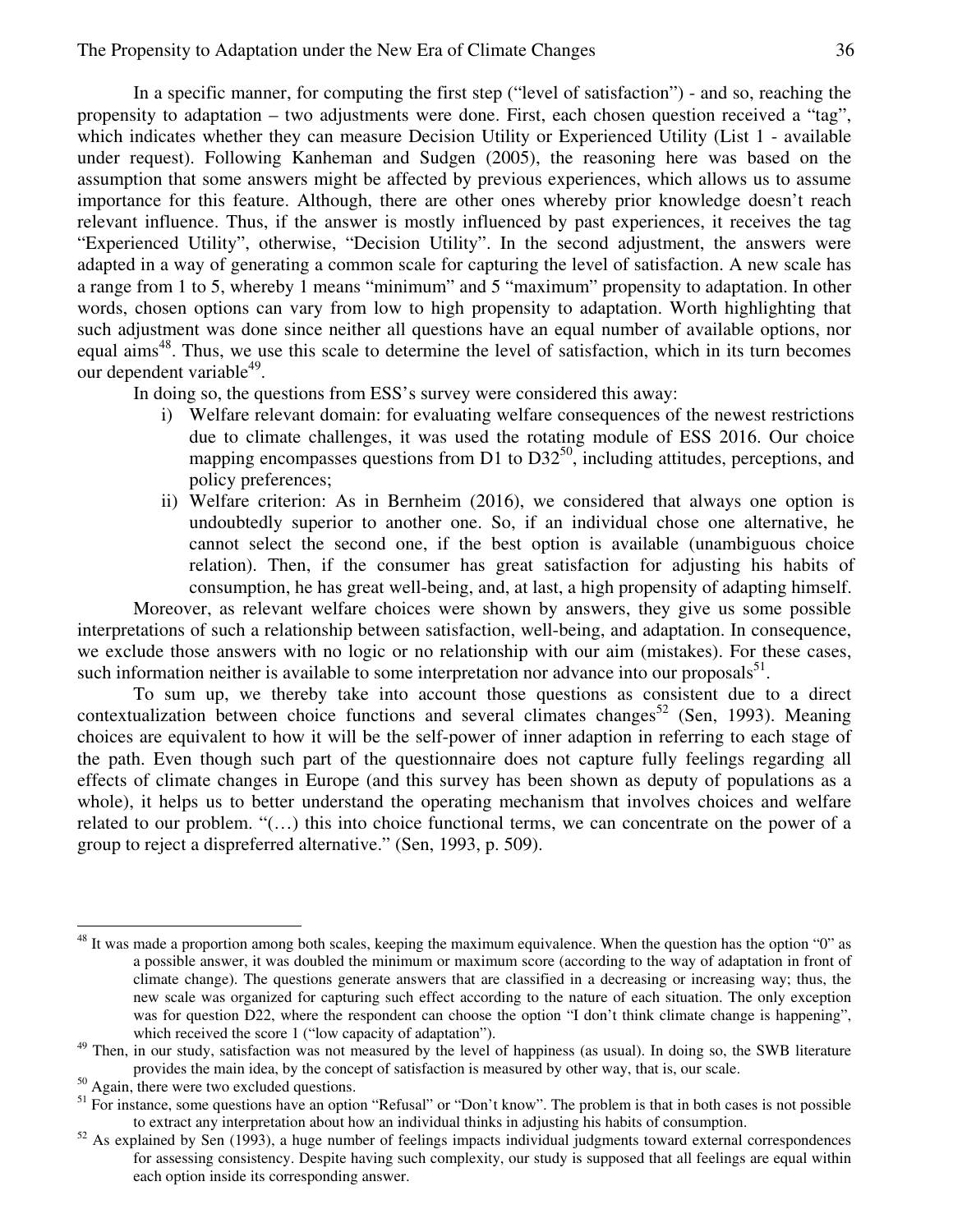In a specific manner, for computing the first step ("level of satisfaction") - and so, reaching the propensity to adaptation – two adjustments were done. First, each chosen question received a "tag", which indicates whether they can measure Decision Utility or Experienced Utility (List 1 - available under request). Following Kanheman and Sudgen (2005), the reasoning here was based on the assumption that some answers might be affected by previous experiences, which allows us to assume importance for this feature. Although, there are other ones whereby prior knowledge doesn't reach relevant influence. Thus, if the answer is mostly influenced by past experiences, it receives the tag "Experienced Utility", otherwise, "Decision Utility". In the second adjustment, the answers were adapted in a way of generating a common scale for capturing the level of satisfaction. A new scale has a range from 1 to 5, whereby 1 means "minimum" and 5 "maximum" propensity to adaptation. In other words, chosen options can vary from low to high propensity to adaptation. Worth highlighting that such adjustment was done since neither all questions have an equal number of available options, nor equal aims<sup>48</sup>. Thus, we use this scale to determine the level of satisfaction, which in its turn becomes our dependent variable<sup>49</sup>.

In doing so, the questions from ESS's survey were considered this away:

- i) Welfare relevant domain: for evaluating welfare consequences of the newest restrictions due to climate challenges, it was used the rotating module of ESS 2016. Our choice mapping encompasses questions from D1 to  $D32^{50}$ , including attitudes, perceptions, and policy preferences;
- ii) Welfare criterion: As in Bernheim (2016), we considered that always one option is undoubtedly superior to another one. So, if an individual chose one alternative, he cannot select the second one, if the best option is available (unambiguous choice relation). Then, if the consumer has great satisfaction for adjusting his habits of consumption, he has great well-being, and, at last, a high propensity of adapting himself.

Moreover, as relevant welfare choices were shown by answers, they give us some possible interpretations of such a relationship between satisfaction, well-being, and adaptation. In consequence, we exclude those answers with no logic or no relationship with our aim (mistakes). For these cases, such information neither is available to some interpretation nor advance into our proposals $^{51}$ .

To sum up, we thereby take into account those questions as consistent due to a direct contextualization between choice functions and several climates changes<sup>52</sup> (Sen, 1993). Meaning choices are equivalent to how it will be the self-power of inner adaption in referring to each stage of the path. Even though such part of the questionnaire does not capture fully feelings regarding all effects of climate changes in Europe (and this survey has been shown as deputy of populations as a whole), it helps us to better understand the operating mechanism that involves choices and welfare related to our problem. "(…) this into choice functional terms, we can concentrate on the power of a group to reject a dispreferred alternative." (Sen, 1993, p. 509).

 $\overline{a}$ 

 $48$  It was made a proportion among both scales, keeping the maximum equivalence. When the question has the option "0" as a possible answer, it was doubled the minimum or maximum score (according to the way of adaptation in front of climate change). The questions generate answers that are classified in a decreasing or increasing way; thus, the new scale was organized for capturing such effect according to the nature of each situation. The only exception was for question D22, where the respondent can choose the option "I don't think climate change is happening", which received the score 1 ("low capacity of adaptation").

<sup>49</sup> Then, in our study, satisfaction was not measured by the level of happiness (as usual). In doing so, the SWB literature provides the main idea, by the concept of satisfaction is measured by other way, that is, our scale.

<sup>&</sup>lt;sup>50</sup> Again, there were two excluded questions.

 $<sup>51</sup>$  For instance, some questions have an option "Refusal" or "Don't know". The problem is that in both cases is not possible</sup> to extract any interpretation about how an individual thinks in adjusting his habits of consumption.

 $52$  As explained by Sen (1993), a huge number of feelings impacts individual judgments toward external correspondences for assessing consistency. Despite having such complexity, our study is supposed that all feelings are equal within each option inside its corresponding answer.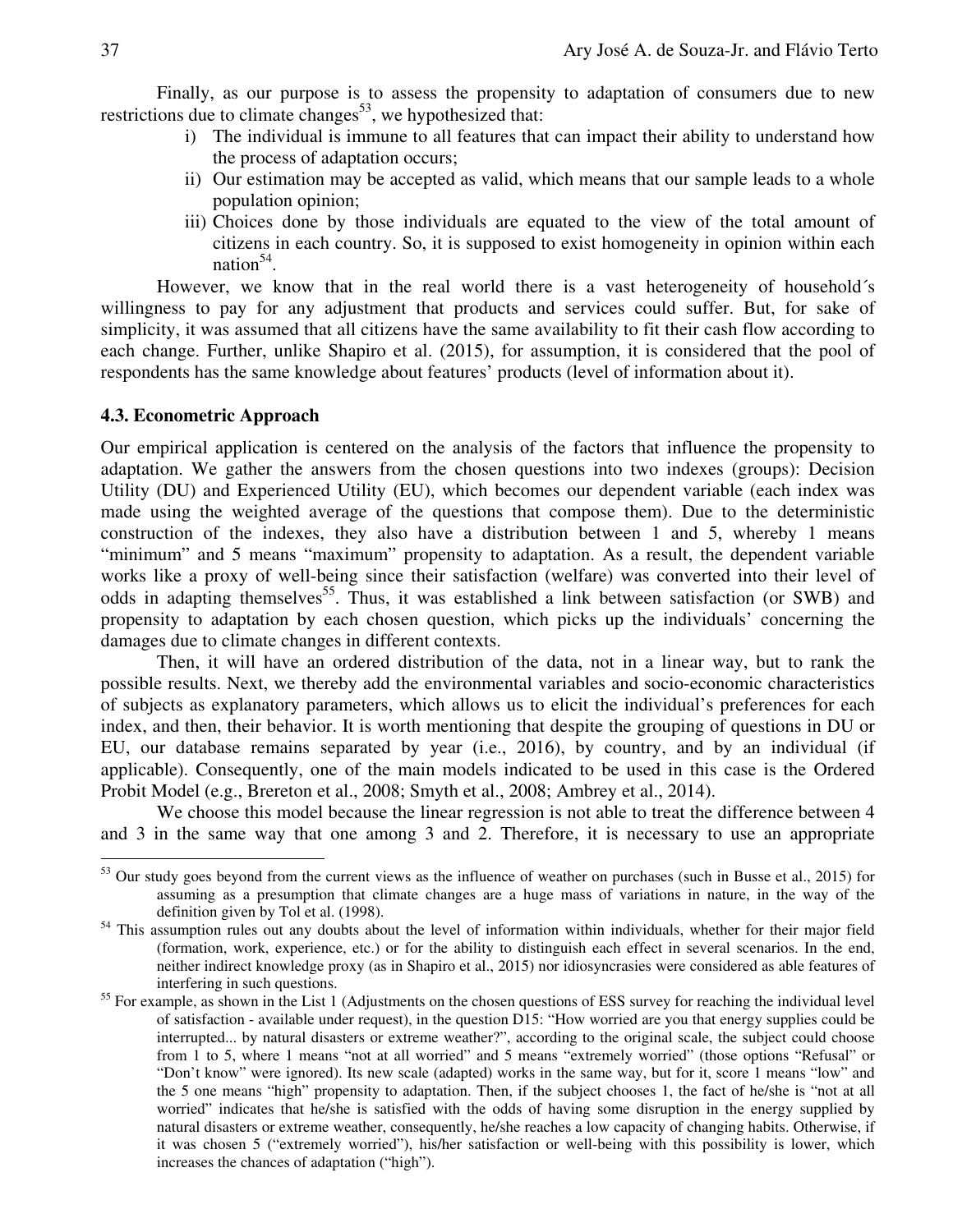Finally, as our purpose is to assess the propensity to adaptation of consumers due to new restrictions due to climate changes<sup>53</sup>, we hypothesized that:

- i) The individual is immune to all features that can impact their ability to understand how the process of adaptation occurs;
- ii) Our estimation may be accepted as valid, which means that our sample leads to a whole population opinion;
- iii) Choices done by those individuals are equated to the view of the total amount of citizens in each country. So, it is supposed to exist homogeneity in opinion within each nation<sup>54</sup>.

However, we know that in the real world there is a vast heterogeneity of household's willingness to pay for any adjustment that products and services could suffer. But, for sake of simplicity, it was assumed that all citizens have the same availability to fit their cash flow according to each change. Further, unlike Shapiro et al. (2015), for assumption, it is considered that the pool of respondents has the same knowledge about features' products (level of information about it).

#### **4.3. Econometric Approach**

Our empirical application is centered on the analysis of the factors that influence the propensity to adaptation. We gather the answers from the chosen questions into two indexes (groups): Decision Utility (DU) and Experienced Utility (EU), which becomes our dependent variable (each index was made using the weighted average of the questions that compose them). Due to the deterministic construction of the indexes, they also have a distribution between 1 and 5, whereby 1 means "minimum" and 5 means "maximum" propensity to adaptation. As a result, the dependent variable works like a proxy of well-being since their satisfaction (welfare) was converted into their level of odds in adapting themselves<sup>55</sup>. Thus, it was established a link between satisfaction (or SWB) and propensity to adaptation by each chosen question, which picks up the individuals' concerning the damages due to climate changes in different contexts.

Then, it will have an ordered distribution of the data, not in a linear way, but to rank the possible results. Next, we thereby add the environmental variables and socio-economic characteristics of subjects as explanatory parameters, which allows us to elicit the individual's preferences for each index, and then, their behavior. It is worth mentioning that despite the grouping of questions in DU or EU, our database remains separated by year (i.e., 2016), by country, and by an individual (if applicable). Consequently, one of the main models indicated to be used in this case is the Ordered Probit Model (e.g., Brereton et al., 2008; Smyth et al., 2008; Ambrey et al., 2014).

We choose this model because the linear regression is not able to treat the difference between 4 and 3 in the same way that one among 3 and 2. Therefore, it is necessary to use an appropriate

 $53$  Our study goes beyond from the current views as the influence of weather on purchases (such in Busse et al., 2015) for assuming as a presumption that climate changes are a huge mass of variations in nature, in the way of the definition given by Tol et al. (1998).

<sup>&</sup>lt;sup>54</sup> This assumption rules out any doubts about the level of information within individuals, whether for their major field (formation, work, experience, etc.) or for the ability to distinguish each effect in several scenarios. In the end, neither indirect knowledge proxy (as in Shapiro et al., 2015) nor idiosyncrasies were considered as able features of interfering in such questions.

<sup>&</sup>lt;sup>55</sup> For example, as shown in the List 1 (Adjustments on the chosen questions of ESS survey for reaching the individual level of satisfaction - available under request), in the question D15: "How worried are you that energy supplies could be interrupted... by natural disasters or extreme weather?", according to the original scale, the subject could choose from 1 to 5, where 1 means "not at all worried" and 5 means "extremely worried" (those options "Refusal" or "Don't know" were ignored). Its new scale (adapted) works in the same way, but for it, score 1 means "low" and the 5 one means "high" propensity to adaptation. Then, if the subject chooses 1, the fact of he/she is "not at all worried" indicates that he/she is satisfied with the odds of having some disruption in the energy supplied by natural disasters or extreme weather, consequently, he/she reaches a low capacity of changing habits. Otherwise, if it was chosen 5 ("extremely worried"), his/her satisfaction or well-being with this possibility is lower, which increases the chances of adaptation ("high").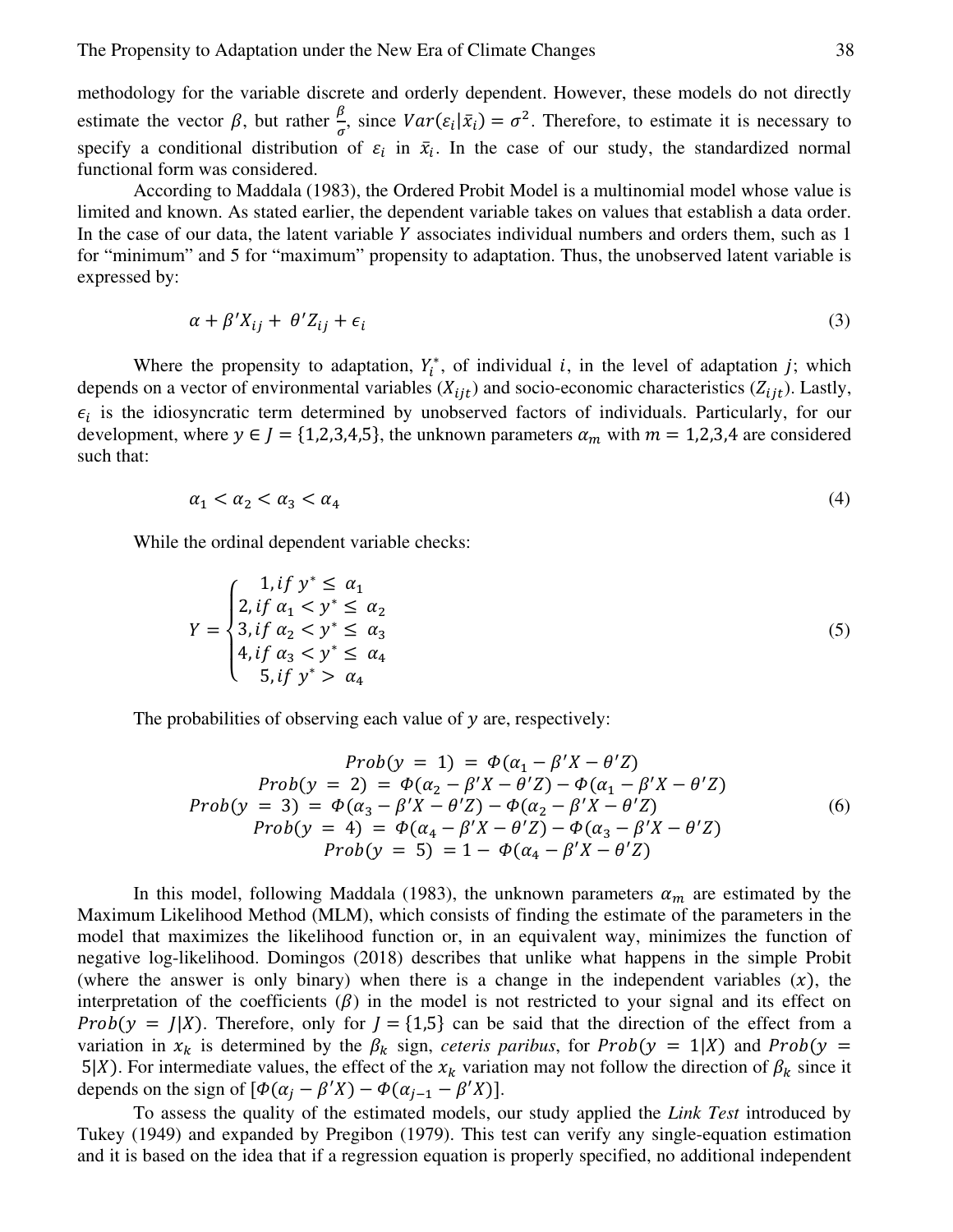methodology for the variable discrete and orderly dependent. However, these models do not directly estimate the vector  $\beta$ , but rather  $\frac{\beta}{\sigma}$ , since  $Var(\varepsilon_i|\bar{x}_i) = \sigma^2$ . Therefore, to estimate it is necessary to specify a conditional distribution of  $\varepsilon_i$  in  $\bar{x}_i$ . In the case of our study, the standardized normal functional form was considered.

According to Maddala (1983), the Ordered Probit Model is a multinomial model whose value is limited and known. As stated earlier, the dependent variable takes on values that establish a data order. In the case of our data, the latent variable  $Y$  associates individual numbers and orders them, such as 1 for "minimum" and 5 for "maximum" propensity to adaptation. Thus, the unobserved latent variable is expressed by:

$$
\alpha + \beta' X_{ij} + \theta' Z_{ij} + \epsilon_i \tag{3}
$$

Where the propensity to adaptation,  $Y_i^*$ , of individual *i*, in the level of adaptation *j*; which depends on a vector of environmental variables  $(X_{ijt})$  and socio-economic characteristics  $(Z_{ijt})$ . Lastly,  $\epsilon_i$  is the idiosyncratic term determined by unobserved factors of individuals. Particularly, for our development, where  $y \in J = \{1,2,3,4,5\}$ , the unknown parameters  $\alpha_m$  with  $m = 1,2,3,4$  are considered such that:

$$
\alpha_1 < \alpha_2 < \alpha_3 < \alpha_4 \tag{4}
$$

While the ordinal dependent variable checks:

$$
Y = \begin{cases} 1, & \text{if } y^* \le \alpha_1 \\ 2, & \text{if } \alpha_1 < y^* \le \alpha_2 \\ 3, & \text{if } \alpha_2 < y^* \le \alpha_3 \\ 4, & \text{if } \alpha_3 < y^* \le \alpha_4 \\ 5, & \text{if } y^* > \alpha_4 \end{cases} \tag{5}
$$

The probabilities of observing each value of  $y$  are, respectively:

$$
Prob(y = 1) = \Phi(\alpha_1 - \beta'X - \theta'Z) \nProb(y = 2) = \Phi(\alpha_2 - \beta'X - \theta'Z) - \Phi(\alpha_1 - \beta'X - \theta'Z) \nProb(y = 3) = \Phi(\alpha_3 - \beta'X - \theta'Z) - \Phi(\alpha_2 - \beta'X - \theta'Z) \nProb(y = 4) = \Phi(\alpha_4 - \beta'X - \theta'Z) - \Phi(\alpha_3 - \beta'X - \theta'Z) \nProb(y = 5) = 1 - \Phi(\alpha_4 - \beta'X - \theta'Z)
$$
\n(6)

In this model, following Maddala (1983), the unknown parameters  $\alpha_m$  are estimated by the Maximum Likelihood Method (MLM), which consists of finding the estimate of the parameters in the model that maximizes the likelihood function or, in an equivalent way, minimizes the function of negative log-likelihood. Domingos (2018) describes that unlike what happens in the simple Probit (where the answer is only binary) when there is a change in the independent variables  $(x)$ , the interpretation of the coefficients  $(\beta)$  in the model is not restricted to your signal and its effect on  $Prob(y = J|X)$ . Therefore, only for  $J = \{1,5\}$  can be said that the direction of the effect from a variation in  $x_k$  is determined by the  $\beta_k$  sign, *ceteris paribus*, for Prob(y = 1|X) and Prob(y = 5|X). For intermediate values, the effect of the  $x_k$  variation may not follow the direction of  $\beta_k$  since it depends on the sign of  $[\Phi(\alpha_j - \beta'X) - \Phi(\alpha_{j-1} - \beta'X)].$ 

To assess the quality of the estimated models, our study applied the *Link Test* introduced by Tukey (1949) and expanded by Pregibon (1979). This test can verify any single-equation estimation and it is based on the idea that if a regression equation is properly specified, no additional independent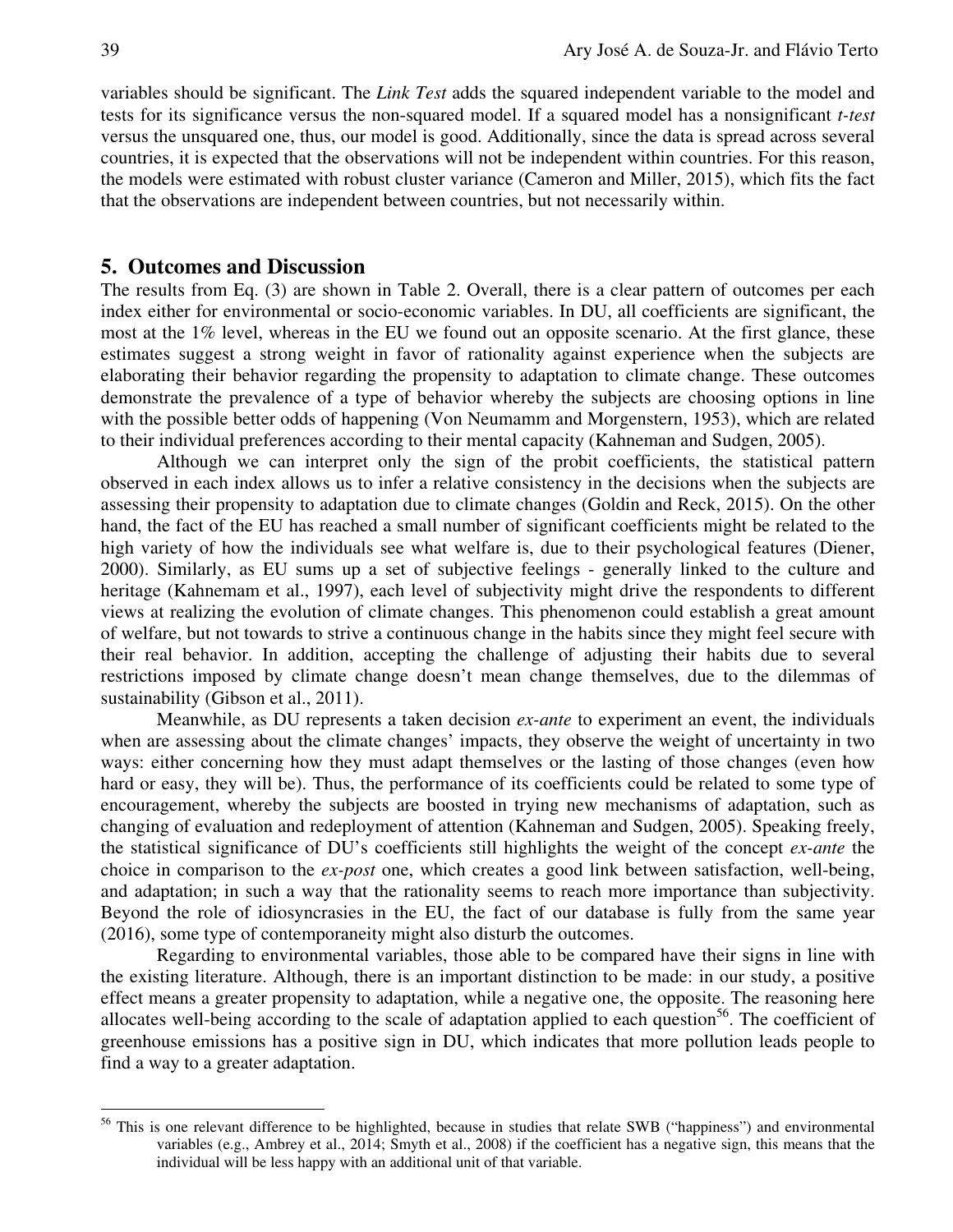variables should be significant. The *Link Test* adds the squared independent variable to the model and tests for its significance versus the non-squared model. If a squared model has a nonsignificant *t-test* versus the unsquared one, thus, our model is good. Additionally, since the data is spread across several countries, it is expected that the observations will not be independent within countries. For this reason, the models were estimated with robust cluster variance (Cameron and Miller, 2015), which fits the fact that the observations are independent between countries, but not necessarily within.

#### **5. Outcomes and Discussion**

The results from Eq. (3) are shown in Table 2. Overall, there is a clear pattern of outcomes per each index either for environmental or socio-economic variables. In DU, all coefficients are significant, the most at the 1% level, whereas in the EU we found out an opposite scenario. At the first glance, these estimates suggest a strong weight in favor of rationality against experience when the subjects are elaborating their behavior regarding the propensity to adaptation to climate change. These outcomes demonstrate the prevalence of a type of behavior whereby the subjects are choosing options in line with the possible better odds of happening (Von Neumamm and Morgenstern, 1953), which are related to their individual preferences according to their mental capacity (Kahneman and Sudgen, 2005).

Although we can interpret only the sign of the probit coefficients, the statistical pattern observed in each index allows us to infer a relative consistency in the decisions when the subjects are assessing their propensity to adaptation due to climate changes (Goldin and Reck, 2015). On the other hand, the fact of the EU has reached a small number of significant coefficients might be related to the high variety of how the individuals see what welfare is, due to their psychological features (Diener, 2000). Similarly, as EU sums up a set of subjective feelings - generally linked to the culture and heritage (Kahnemam et al., 1997), each level of subjectivity might drive the respondents to different views at realizing the evolution of climate changes. This phenomenon could establish a great amount of welfare, but not towards to strive a continuous change in the habits since they might feel secure with their real behavior. In addition, accepting the challenge of adjusting their habits due to several restrictions imposed by climate change doesn't mean change themselves, due to the dilemmas of sustainability (Gibson et al., 2011).

Meanwhile, as DU represents a taken decision *ex-ante* to experiment an event, the individuals when are assessing about the climate changes' impacts, they observe the weight of uncertainty in two ways: either concerning how they must adapt themselves or the lasting of those changes (even how hard or easy, they will be). Thus, the performance of its coefficients could be related to some type of encouragement, whereby the subjects are boosted in trying new mechanisms of adaptation, such as changing of evaluation and redeployment of attention (Kahneman and Sudgen, 2005). Speaking freely, the statistical significance of DU's coefficients still highlights the weight of the concept *ex-ante* the choice in comparison to the *ex-post* one, which creates a good link between satisfaction, well-being, and adaptation; in such a way that the rationality seems to reach more importance than subjectivity. Beyond the role of idiosyncrasies in the EU, the fact of our database is fully from the same year (2016), some type of contemporaneity might also disturb the outcomes.

Regarding to environmental variables, those able to be compared have their signs in line with the existing literature. Although, there is an important distinction to be made: in our study, a positive effect means a greater propensity to adaptation, while a negative one, the opposite. The reasoning here allocates well-being according to the scale of adaptation applied to each question<sup>56</sup>. The coefficient of greenhouse emissions has a positive sign in DU, which indicates that more pollution leads people to find a way to a greater adaptation.

<sup>&</sup>lt;sup>56</sup> This is one relevant difference to be highlighted, because in studies that relate SWB ("happiness") and environmental variables (e.g., Ambrey et al., 2014; Smyth et al., 2008) if the coefficient has a negative sign, this means that the individual will be less happy with an additional unit of that variable.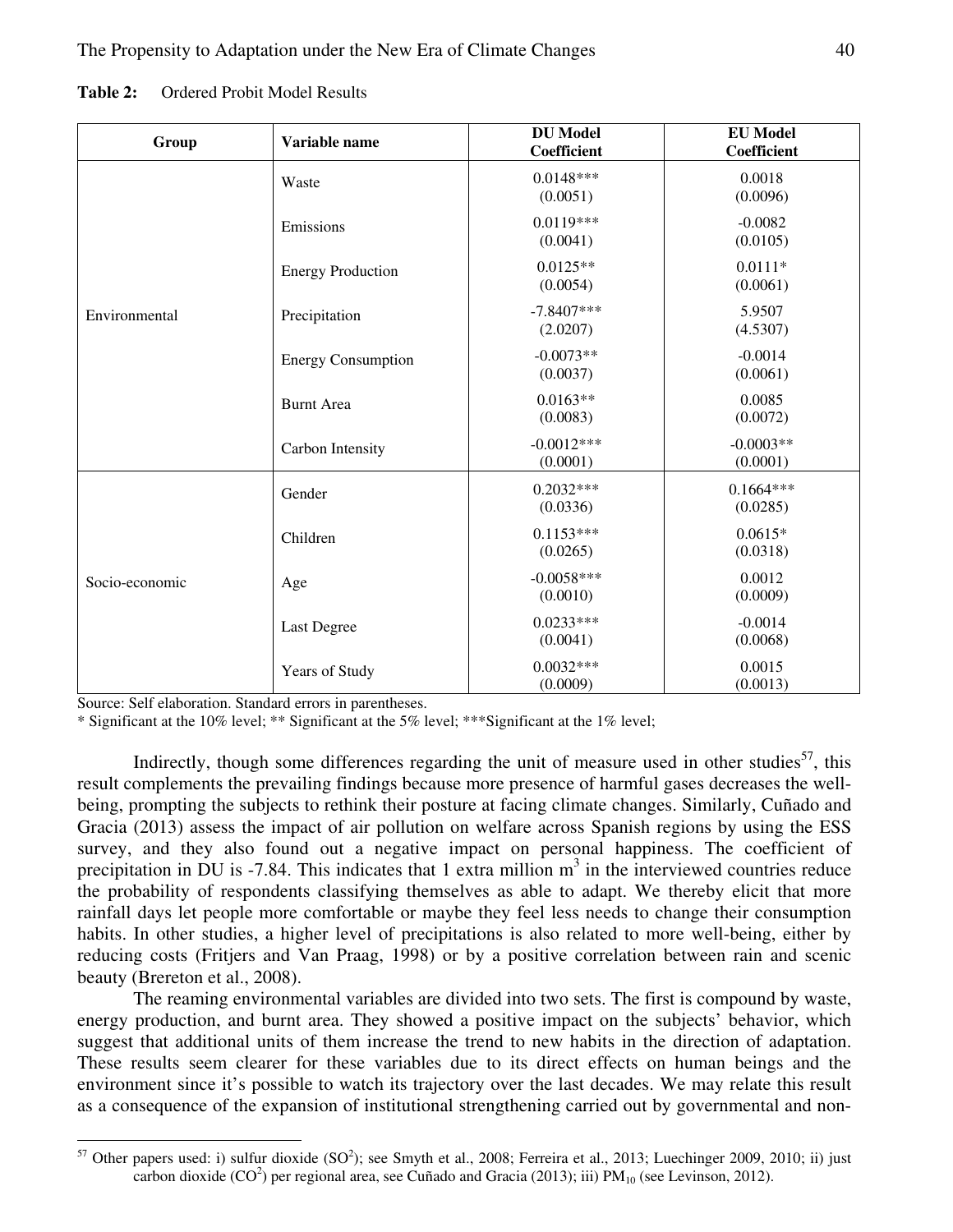| Variable name<br>Group |                           | <b>DU</b> Model | <b>EU Model</b>                                                                                                                                                                                                                                             |  |
|------------------------|---------------------------|-----------------|-------------------------------------------------------------------------------------------------------------------------------------------------------------------------------------------------------------------------------------------------------------|--|
|                        |                           | Coefficient     |                                                                                                                                                                                                                                                             |  |
|                        | Waste                     | $0.0148***$     |                                                                                                                                                                                                                                                             |  |
|                        |                           | (0.0051)        | (0.0096)                                                                                                                                                                                                                                                    |  |
|                        |                           | $0.0119***$     |                                                                                                                                                                                                                                                             |  |
|                        | Emissions                 | (0.0041)        |                                                                                                                                                                                                                                                             |  |
|                        |                           | $0.0125**$      |                                                                                                                                                                                                                                                             |  |
|                        | <b>Energy Production</b>  | (0.0054)        |                                                                                                                                                                                                                                                             |  |
|                        |                           |                 |                                                                                                                                                                                                                                                             |  |
| Environmental          | Precipitation             | $-7.8407***$    |                                                                                                                                                                                                                                                             |  |
|                        |                           | (2.0207)        |                                                                                                                                                                                                                                                             |  |
|                        | <b>Energy Consumption</b> | $-0.0073**$     | $-0.0014$                                                                                                                                                                                                                                                   |  |
|                        |                           | (0.0037)        | (0.0061)                                                                                                                                                                                                                                                    |  |
|                        | <b>Burnt Area</b>         | $0.0163**$      |                                                                                                                                                                                                                                                             |  |
|                        |                           | (0.0083)        | (0.0072)                                                                                                                                                                                                                                                    |  |
|                        |                           | $-0.0012***$    |                                                                                                                                                                                                                                                             |  |
|                        | Carbon Intensity          | (0.0001)        |                                                                                                                                                                                                                                                             |  |
|                        |                           | $0.2032***$     |                                                                                                                                                                                                                                                             |  |
|                        | Gender                    | (0.0336)        |                                                                                                                                                                                                                                                             |  |
|                        |                           |                 | Coefficient<br>0.0018<br>$-0.0082$<br>(0.0105)<br>$0.0111*$<br>(0.0061)<br>5.9507<br>(4.5307)<br>0.0085<br>$-0.0003**$<br>(0.0001)<br>$0.1664***$<br>(0.0285)<br>$0.0615*$<br>(0.0318)<br>0.0012<br>(0.0009)<br>$-0.0014$<br>(0.0068)<br>0.0015<br>(0.0013) |  |
|                        | Children                  | $0.1153***$     |                                                                                                                                                                                                                                                             |  |
|                        |                           | (0.0265)        |                                                                                                                                                                                                                                                             |  |
| Socio-economic         | Age                       | $-0.0058***$    |                                                                                                                                                                                                                                                             |  |
|                        |                           | (0.0010)        |                                                                                                                                                                                                                                                             |  |
|                        |                           | $0.0233***$     |                                                                                                                                                                                                                                                             |  |
|                        | Last Degree               | (0.0041)        |                                                                                                                                                                                                                                                             |  |
|                        |                           | $0.0032***$     |                                                                                                                                                                                                                                                             |  |
|                        | Years of Study            | (0.0009)        |                                                                                                                                                                                                                                                             |  |

Table 2: Ordered Probit Model Results

Source: Self elaboration. Standard errors in parentheses.

\* Significant at the 10% level; \*\* Significant at the 5% level; \*\*\*Significant at the 1% level;

Indirectly, though some differences regarding the unit of measure used in other studies<sup>57</sup>, this result complements the prevailing findings because more presence of harmful gases decreases the wellbeing, prompting the subjects to rethink their posture at facing climate changes. Similarly, Cuñado and Gracia (2013) assess the impact of air pollution on welfare across Spanish regions by using the ESS survey, and they also found out a negative impact on personal happiness. The coefficient of precipitation in DU is -7.84. This indicates that 1 extra million  $m<sup>3</sup>$  in the interviewed countries reduce the probability of respondents classifying themselves as able to adapt. We thereby elicit that more rainfall days let people more comfortable or maybe they feel less needs to change their consumption habits. In other studies, a higher level of precipitations is also related to more well-being, either by reducing costs (Fritjers and Van Praag, 1998) or by a positive correlation between rain and scenic beauty (Brereton et al., 2008).

The reaming environmental variables are divided into two sets. The first is compound by waste, energy production, and burnt area. They showed a positive impact on the subjects' behavior, which suggest that additional units of them increase the trend to new habits in the direction of adaptation. These results seem clearer for these variables due to its direct effects on human beings and the environment since it's possible to watch its trajectory over the last decades. We may relate this result as a consequence of the expansion of institutional strengthening carried out by governmental and non-

 $\overline{a}$ <sup>57</sup> Other papers used: i) sulfur dioxide  $(SO<sup>2</sup>)$ ; see Smyth et al., 2008; Ferreira et al., 2013; Luechinger 2009, 2010; ii) just carbon dioxide  $(CO<sup>2</sup>)$  per regional area, see Cuñado and Gracia (2013); iii)  $PM<sub>10</sub>$  (see Levinson, 2012).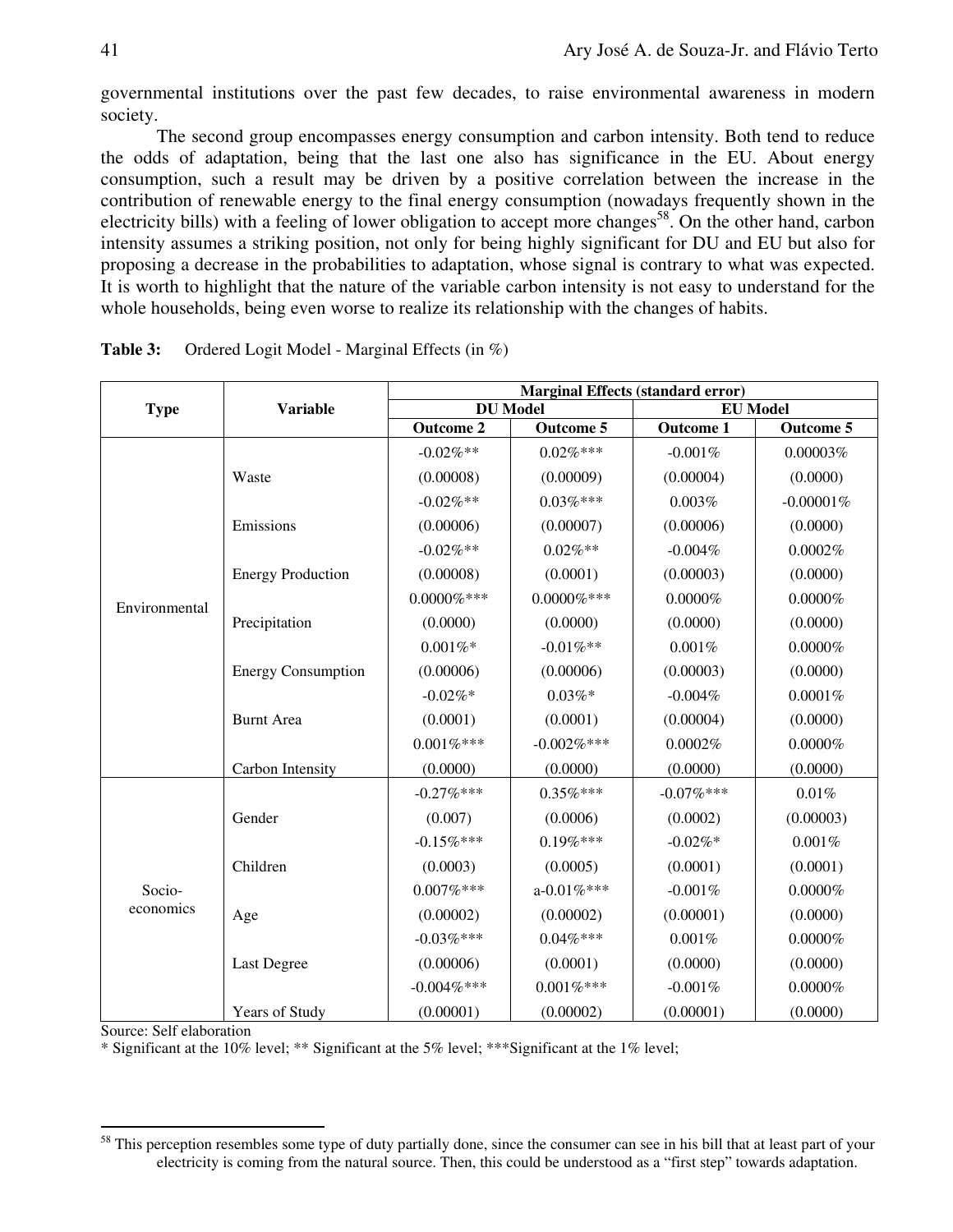governmental institutions over the past few decades, to raise environmental awareness in modern society.

The second group encompasses energy consumption and carbon intensity. Both tend to reduce the odds of adaptation, being that the last one also has significance in the EU. About energy consumption, such a result may be driven by a positive correlation between the increase in the contribution of renewable energy to the final energy consumption (nowadays frequently shown in the electricity bills) with a feeling of lower obligation to accept more changes<sup>58</sup>. On the other hand, carbon intensity assumes a striking position, not only for being highly significant for DU and EU but also for proposing a decrease in the probabilities to adaptation, whose signal is contrary to what was expected. It is worth to highlight that the nature of the variable carbon intensity is not easy to understand for the whole households, being even worse to realize its relationship with the changes of habits.

|                     | <b>Variable</b>           | <b>Marginal Effects (standard error)</b> |                  |                  |                  |  |
|---------------------|---------------------------|------------------------------------------|------------------|------------------|------------------|--|
| <b>Type</b>         |                           | <b>DU</b> Model                          |                  | <b>EU Model</b>  |                  |  |
|                     |                           | <b>Outcome 2</b>                         | Outcome 5        | <b>Outcome 1</b> | <b>Outcome 5</b> |  |
|                     |                           | $-0.02\%$ **                             | $0.02\%***$      | $-0.001%$        | 0.00003%         |  |
|                     | Waste                     | (0.00008)                                | (0.00009)        | (0.00004)        | (0.0000)         |  |
|                     |                           | $-0.02\%**$                              | $0.03\%***$      | 0.003%           | $-0.00001%$      |  |
|                     | Emissions                 | (0.00006)                                | (0.00007)        | (0.00006)        | (0.0000)         |  |
|                     |                           | $-0.02\%**$                              | $0.02\%**$       | $-0.004%$        | 0.0002%          |  |
|                     | <b>Energy Production</b>  | (0.00008)                                | (0.0001)         | (0.00003)        | (0.0000)         |  |
| Environmental       |                           | $0.0000\%***$                            | $0.0000\%***$    | $0.0000\%$       | $0.0000\%$       |  |
|                     | Precipitation             | (0.0000)                                 | (0.0000)         | (0.0000)         | (0.0000)         |  |
|                     |                           | $0.001\%$ *                              | $-0.01\%$ **     | 0.001%           | $0.0000\%$       |  |
|                     | <b>Energy Consumption</b> | (0.00006)                                | (0.00006)        | (0.00003)        | (0.0000)         |  |
|                     |                           | $-0.02\%*$                               | $0.03\%*$        | $-0.004\%$       | 0.0001%          |  |
|                     | <b>Burnt Area</b>         | (0.0001)                                 | (0.0001)         | (0.00004)        | (0.0000)         |  |
|                     |                           | $0.001\%***$                             | $-0.002\%***$    | 0.0002%          | $0.0000\%$       |  |
|                     | Carbon Intensity          | (0.0000)                                 | (0.0000)         | (0.0000)         | (0.0000)         |  |
| Socio-<br>economics |                           | $-0.27%***$                              | $0.35\%***$      | $-0.07\%***$     | $0.01\%$         |  |
|                     | Gender                    | (0.007)                                  | (0.0006)         | (0.0002)         | (0.00003)        |  |
|                     |                           | $-0.15%$ ***                             | $0.19\%***$      | $-0.02\%*$       | 0.001%           |  |
|                     | Children                  | (0.0003)                                 | (0.0005)         | (0.0001)         | (0.0001)         |  |
|                     |                           | $0.007\%***$                             | $a - 0.01\%$ *** | $-0.001%$        | $0.0000\%$       |  |
|                     | Age                       | (0.00002)                                | (0.00002)        | (0.00001)        | (0.0000)         |  |
|                     |                           | $-0.03%***$                              | $0.04\%***$      | 0.001%           | $0.0000\%$       |  |
|                     | Last Degree               | (0.00006)                                | (0.0001)         | (0.0000)         | (0.0000)         |  |
|                     |                           | $-0.004\%***$                            | $0.001\%***$     | $-0.001%$        | $0.0000\%$       |  |
|                     | Years of Study            | (0.00001)                                | (0.00002)        | (0.00001)        | (0.0000)         |  |

| Table 3: | Ordered Logit Model - Marginal Effects (in %) |  |  |  |  |
|----------|-----------------------------------------------|--|--|--|--|
|----------|-----------------------------------------------|--|--|--|--|

Source: Self elaboration

-

\* Significant at the 10% level; \*\* Significant at the 5% level; \*\*\*Significant at the 1% level;

<sup>&</sup>lt;sup>58</sup> This perception resembles some type of duty partially done, since the consumer can see in his bill that at least part of your electricity is coming from the natural source. Then, this could be understood as a "first step" towards adaptation.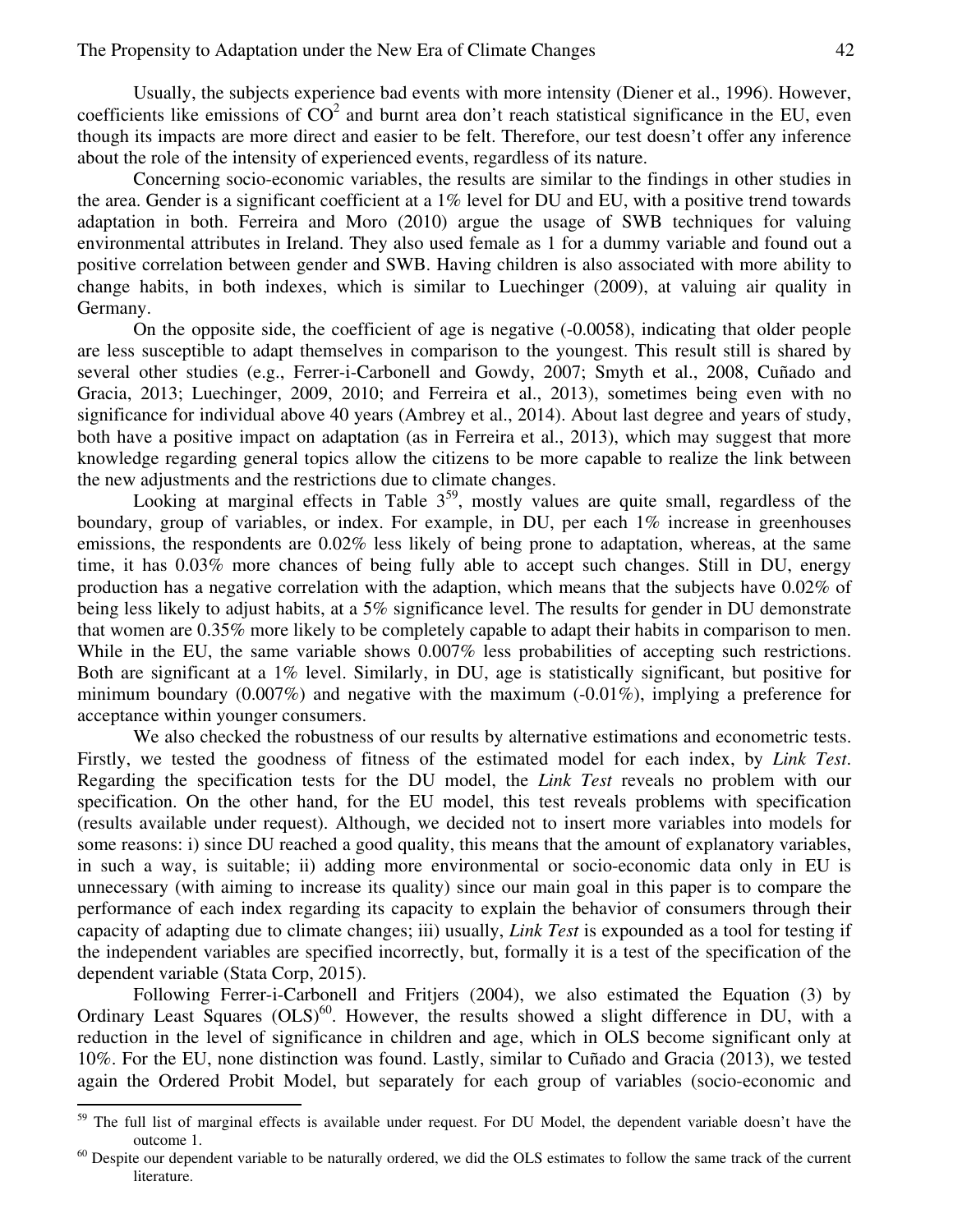Usually, the subjects experience bad events with more intensity (Diener et al., 1996). However, coefficients like emissions of  $CO<sup>2</sup>$  and burnt area don't reach statistical significance in the EU, even though its impacts are more direct and easier to be felt. Therefore, our test doesn't offer any inference about the role of the intensity of experienced events, regardless of its nature.

Concerning socio-economic variables, the results are similar to the findings in other studies in the area. Gender is a significant coefficient at a 1% level for DU and EU, with a positive trend towards adaptation in both. Ferreira and Moro (2010) argue the usage of SWB techniques for valuing environmental attributes in Ireland. They also used female as 1 for a dummy variable and found out a positive correlation between gender and SWB. Having children is also associated with more ability to change habits, in both indexes, which is similar to Luechinger (2009), at valuing air quality in Germany.

On the opposite side, the coefficient of age is negative (-0.0058), indicating that older people are less susceptible to adapt themselves in comparison to the youngest. This result still is shared by several other studies (e.g., Ferrer-i-Carbonell and Gowdy, 2007; Smyth et al., 2008, Cuñado and Gracia, 2013; Luechinger, 2009, 2010; and Ferreira et al., 2013), sometimes being even with no significance for individual above 40 years (Ambrey et al., 2014). About last degree and years of study, both have a positive impact on adaptation (as in Ferreira et al., 2013), which may suggest that more knowledge regarding general topics allow the citizens to be more capable to realize the link between the new adjustments and the restrictions due to climate changes.

Looking at marginal effects in Table  $3<sup>59</sup>$ , mostly values are quite small, regardless of the boundary, group of variables, or index. For example, in DU, per each 1% increase in greenhouses emissions, the respondents are 0.02% less likely of being prone to adaptation, whereas, at the same time, it has 0.03% more chances of being fully able to accept such changes. Still in DU, energy production has a negative correlation with the adaption, which means that the subjects have 0.02% of being less likely to adjust habits, at a 5% significance level. The results for gender in DU demonstrate that women are 0.35% more likely to be completely capable to adapt their habits in comparison to men. While in the EU, the same variable shows  $0.007\%$  less probabilities of accepting such restrictions. Both are significant at a 1% level. Similarly, in DU, age is statistically significant, but positive for minimum boundary (0.007%) and negative with the maximum  $(-0.01\%)$ , implying a preference for acceptance within younger consumers.

We also checked the robustness of our results by alternative estimations and econometric tests. Firstly, we tested the goodness of fitness of the estimated model for each index, by *Link Test*. Regarding the specification tests for the DU model, the *Link Test* reveals no problem with our specification. On the other hand, for the EU model, this test reveals problems with specification (results available under request). Although, we decided not to insert more variables into models for some reasons: i) since DU reached a good quality, this means that the amount of explanatory variables, in such a way, is suitable; ii) adding more environmental or socio-economic data only in EU is unnecessary (with aiming to increase its quality) since our main goal in this paper is to compare the performance of each index regarding its capacity to explain the behavior of consumers through their capacity of adapting due to climate changes; iii) usually, *Link Test* is expounded as a tool for testing if the independent variables are specified incorrectly, but, formally it is a test of the specification of the dependent variable (Stata Corp, 2015).

Following Ferrer-i-Carbonell and Fritjers (2004), we also estimated the Equation (3) by Ordinary Least Squares  $(OLS)^{60}$ . However, the results showed a slight difference in DU, with a reduction in the level of significance in children and age, which in OLS become significant only at 10%. For the EU, none distinction was found. Lastly, similar to Cuñado and Gracia (2013), we tested again the Ordered Probit Model, but separately for each group of variables (socio-economic and

l

The full list of marginal effects is available under request. For DU Model, the dependent variable doesn't have the outcome 1.

 $60$  Despite our dependent variable to be naturally ordered, we did the OLS estimates to follow the same track of the current literature.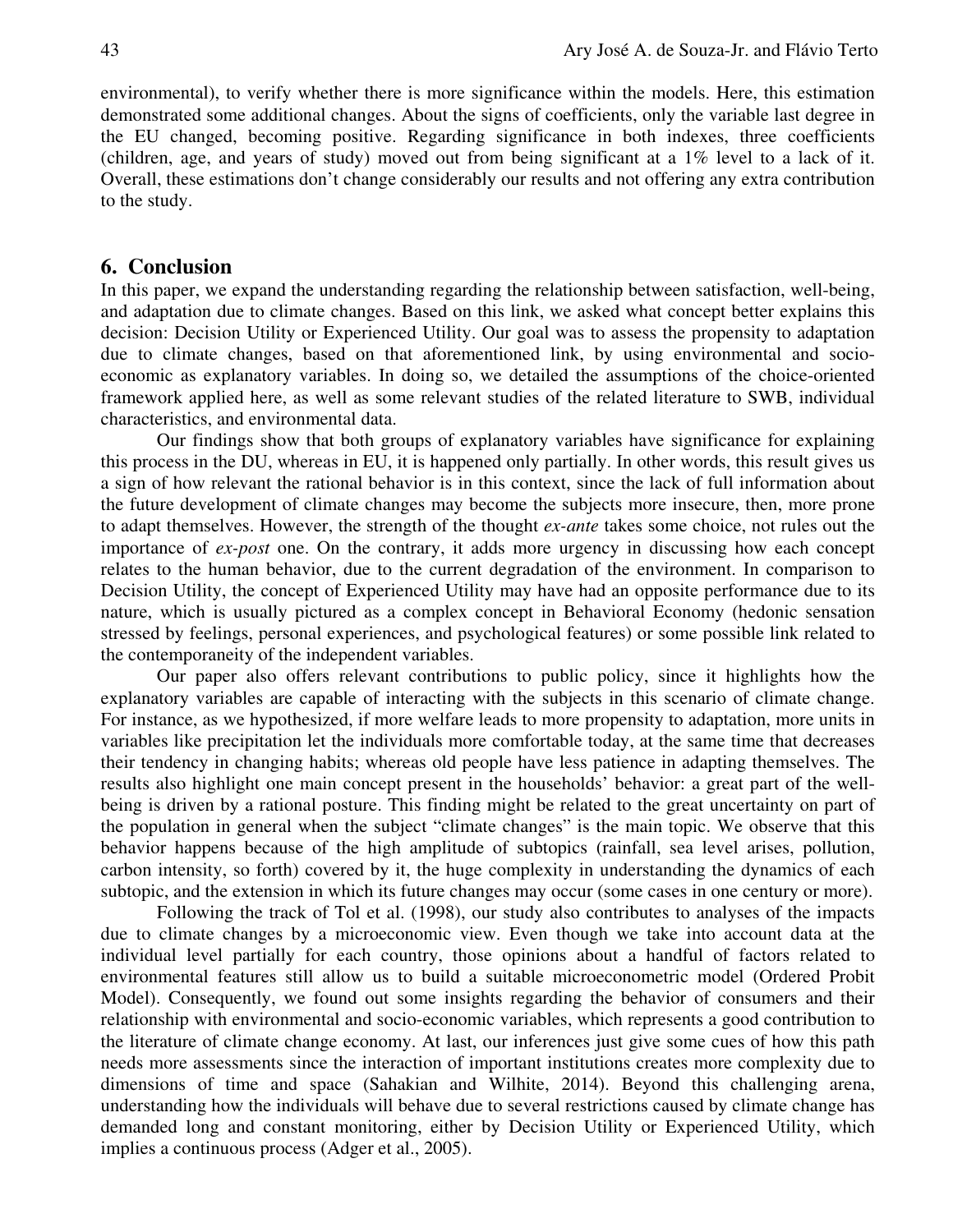environmental), to verify whether there is more significance within the models. Here, this estimation demonstrated some additional changes. About the signs of coefficients, only the variable last degree in the EU changed, becoming positive. Regarding significance in both indexes, three coefficients (children, age, and years of study) moved out from being significant at a 1% level to a lack of it. Overall, these estimations don't change considerably our results and not offering any extra contribution to the study.

# **6. Conclusion**

In this paper, we expand the understanding regarding the relationship between satisfaction, well-being, and adaptation due to climate changes. Based on this link, we asked what concept better explains this decision: Decision Utility or Experienced Utility. Our goal was to assess the propensity to adaptation due to climate changes, based on that aforementioned link, by using environmental and socioeconomic as explanatory variables. In doing so, we detailed the assumptions of the choice-oriented framework applied here, as well as some relevant studies of the related literature to SWB, individual characteristics, and environmental data.

Our findings show that both groups of explanatory variables have significance for explaining this process in the DU, whereas in EU, it is happened only partially. In other words, this result gives us a sign of how relevant the rational behavior is in this context, since the lack of full information about the future development of climate changes may become the subjects more insecure, then, more prone to adapt themselves. However, the strength of the thought *ex-ante* takes some choice, not rules out the importance of *ex-post* one. On the contrary, it adds more urgency in discussing how each concept relates to the human behavior, due to the current degradation of the environment. In comparison to Decision Utility, the concept of Experienced Utility may have had an opposite performance due to its nature, which is usually pictured as a complex concept in Behavioral Economy (hedonic sensation stressed by feelings, personal experiences, and psychological features) or some possible link related to the contemporaneity of the independent variables.

Our paper also offers relevant contributions to public policy, since it highlights how the explanatory variables are capable of interacting with the subjects in this scenario of climate change. For instance, as we hypothesized, if more welfare leads to more propensity to adaptation, more units in variables like precipitation let the individuals more comfortable today, at the same time that decreases their tendency in changing habits; whereas old people have less patience in adapting themselves. The results also highlight one main concept present in the households' behavior: a great part of the wellbeing is driven by a rational posture. This finding might be related to the great uncertainty on part of the population in general when the subject "climate changes" is the main topic. We observe that this behavior happens because of the high amplitude of subtopics (rainfall, sea level arises, pollution, carbon intensity, so forth) covered by it, the huge complexity in understanding the dynamics of each subtopic, and the extension in which its future changes may occur (some cases in one century or more).

Following the track of Tol et al. (1998), our study also contributes to analyses of the impacts due to climate changes by a microeconomic view. Even though we take into account data at the individual level partially for each country, those opinions about a handful of factors related to environmental features still allow us to build a suitable microeconometric model (Ordered Probit Model). Consequently, we found out some insights regarding the behavior of consumers and their relationship with environmental and socio-economic variables, which represents a good contribution to the literature of climate change economy. At last, our inferences just give some cues of how this path needs more assessments since the interaction of important institutions creates more complexity due to dimensions of time and space (Sahakian and Wilhite, 2014). Beyond this challenging arena, understanding how the individuals will behave due to several restrictions caused by climate change has demanded long and constant monitoring, either by Decision Utility or Experienced Utility, which implies a continuous process (Adger et al., 2005).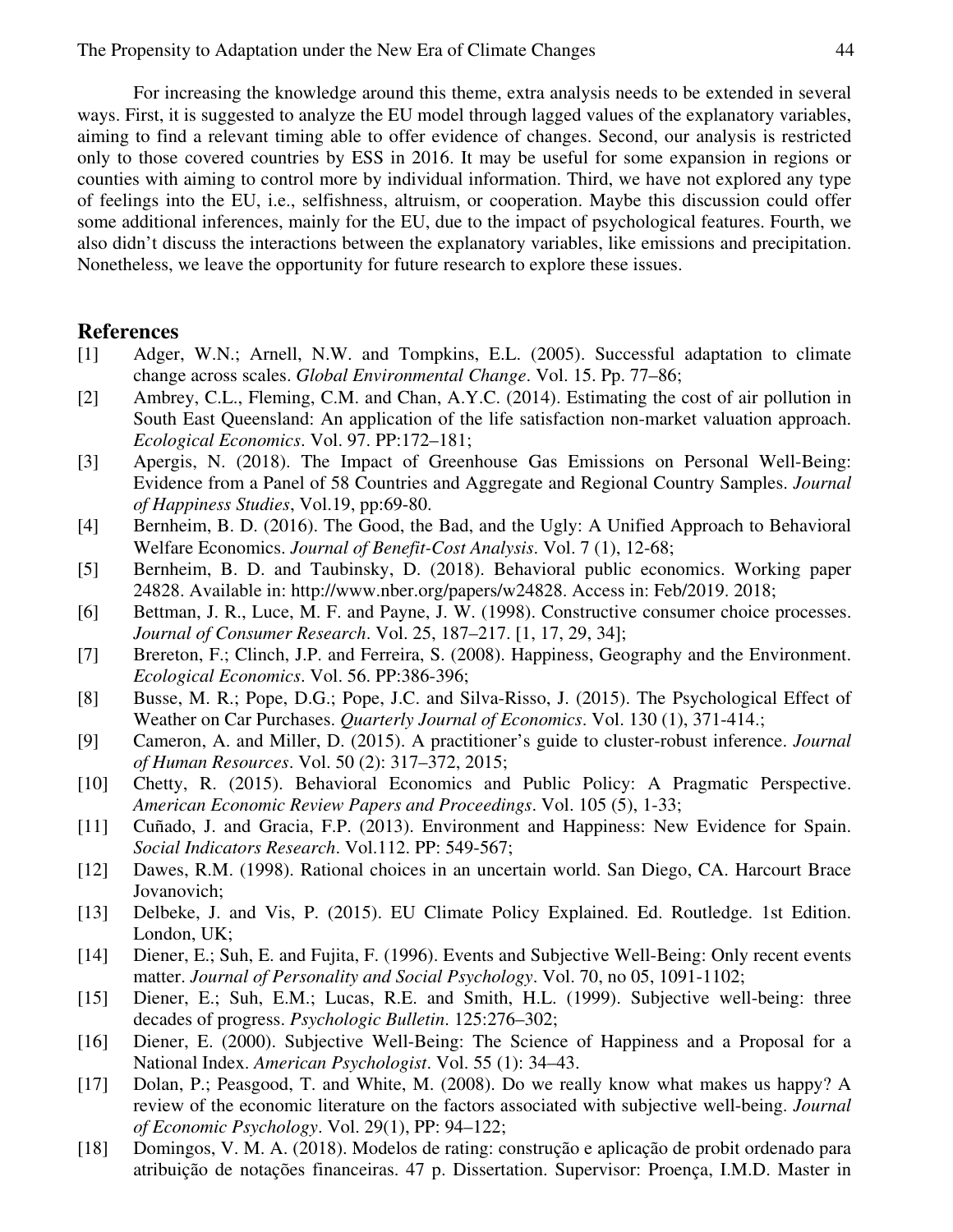For increasing the knowledge around this theme, extra analysis needs to be extended in several ways. First, it is suggested to analyze the EU model through lagged values of the explanatory variables, aiming to find a relevant timing able to offer evidence of changes. Second, our analysis is restricted only to those covered countries by ESS in 2016. It may be useful for some expansion in regions or counties with aiming to control more by individual information. Third, we have not explored any type of feelings into the EU, i.e., selfishness, altruism, or cooperation. Maybe this discussion could offer some additional inferences, mainly for the EU, due to the impact of psychological features. Fourth, we also didn't discuss the interactions between the explanatory variables, like emissions and precipitation. Nonetheless, we leave the opportunity for future research to explore these issues.

# **References**

- [1] Adger, W.N.; Arnell, N.W. and Tompkins, E.L. (2005). Successful adaptation to climate change across scales. *Global Environmental Change*. Vol. 15. Pp. 77–86;
- [2] Ambrey, C.L., Fleming, C.M. and Chan, A.Y.C. (2014). Estimating the cost of air pollution in South East Queensland: An application of the life satisfaction non-market valuation approach. *Ecological Economics*. Vol. 97. PP:172–181;
- [3] Apergis, N. (2018). The Impact of Greenhouse Gas Emissions on Personal Well-Being: Evidence from a Panel of 58 Countries and Aggregate and Regional Country Samples. *Journal of Happiness Studies*, Vol.19, pp:69-80.
- [4] Bernheim, B. D. (2016). The Good, the Bad, and the Ugly: A Unified Approach to Behavioral Welfare Economics. *Journal of Benefit-Cost Analysis*. Vol. 7 (1), 12-68;
- [5] Bernheim, B. D. and Taubinsky, D. (2018). Behavioral public economics. Working paper 24828. Available in: http://www.nber.org/papers/w24828. Access in: Feb/2019. 2018;
- [6] Bettman, J. R., Luce, M. F. and Payne, J. W. (1998). Constructive consumer choice processes. *Journal of Consumer Research*. Vol. 25, 187–217. [1, 17, 29, 34];
- [7] Brereton, F.; Clinch, J.P. and Ferreira, S. (2008). Happiness, Geography and the Environment. *Ecological Economics*. Vol. 56. PP:386-396;
- [8] Busse, M. R.; Pope, D.G.; Pope, J.C. and Silva-Risso, J. (2015). The Psychological Effect of Weather on Car Purchases. *Quarterly Journal of Economics*. Vol. 130 (1), 371-414.;
- [9] Cameron, A. and Miller, D. (2015). A practitioner's guide to cluster-robust inference. *Journal of Human Resources*. Vol. 50 (2): 317–372, 2015;
- [10] Chetty, R. (2015). Behavioral Economics and Public Policy: A Pragmatic Perspective. *American Economic Review Papers and Proceedings*. Vol. 105 (5), 1-33;
- [11] Cuñado, J. and Gracia, F.P. (2013). Environment and Happiness: New Evidence for Spain. *Social Indicators Research*. Vol.112. PP: 549-567;
- [12] Dawes, R.M. (1998). Rational choices in an uncertain world. San Diego, CA. Harcourt Brace Jovanovich;
- [13] Delbeke, J. and Vis, P. (2015). EU Climate Policy Explained. Ed. Routledge. 1st Edition. London, UK;
- [14] Diener, E.; Suh, E. and Fujita, F. (1996). Events and Subjective Well-Being: Only recent events matter. *Journal of Personality and Social Psychology*. Vol. 70, no 05, 1091-1102;
- [15] Diener, E.; Suh, E.M.; Lucas, R.E. and Smith, H.L. (1999). Subjective well-being: three decades of progress. *Psychologic Bulletin*. 125:276–302;
- [16] Diener, E. (2000). Subjective Well-Being: The Science of Happiness and a Proposal for a National Index. *American Psychologist*. Vol. 55 (1): 34–43.
- [17] Dolan, P.; Peasgood, T. and White, M. (2008). Do we really know what makes us happy? A review of the economic literature on the factors associated with subjective well-being. *Journal of Economic Psychology*. Vol. 29(1), PP: 94–122;
- [18] Domingos, V. M. A. (2018). Modelos de rating: construção e aplicação de probit ordenado para atribuição de notações financeiras. 47 p. Dissertation. Supervisor: Proença, I.M.D. Master in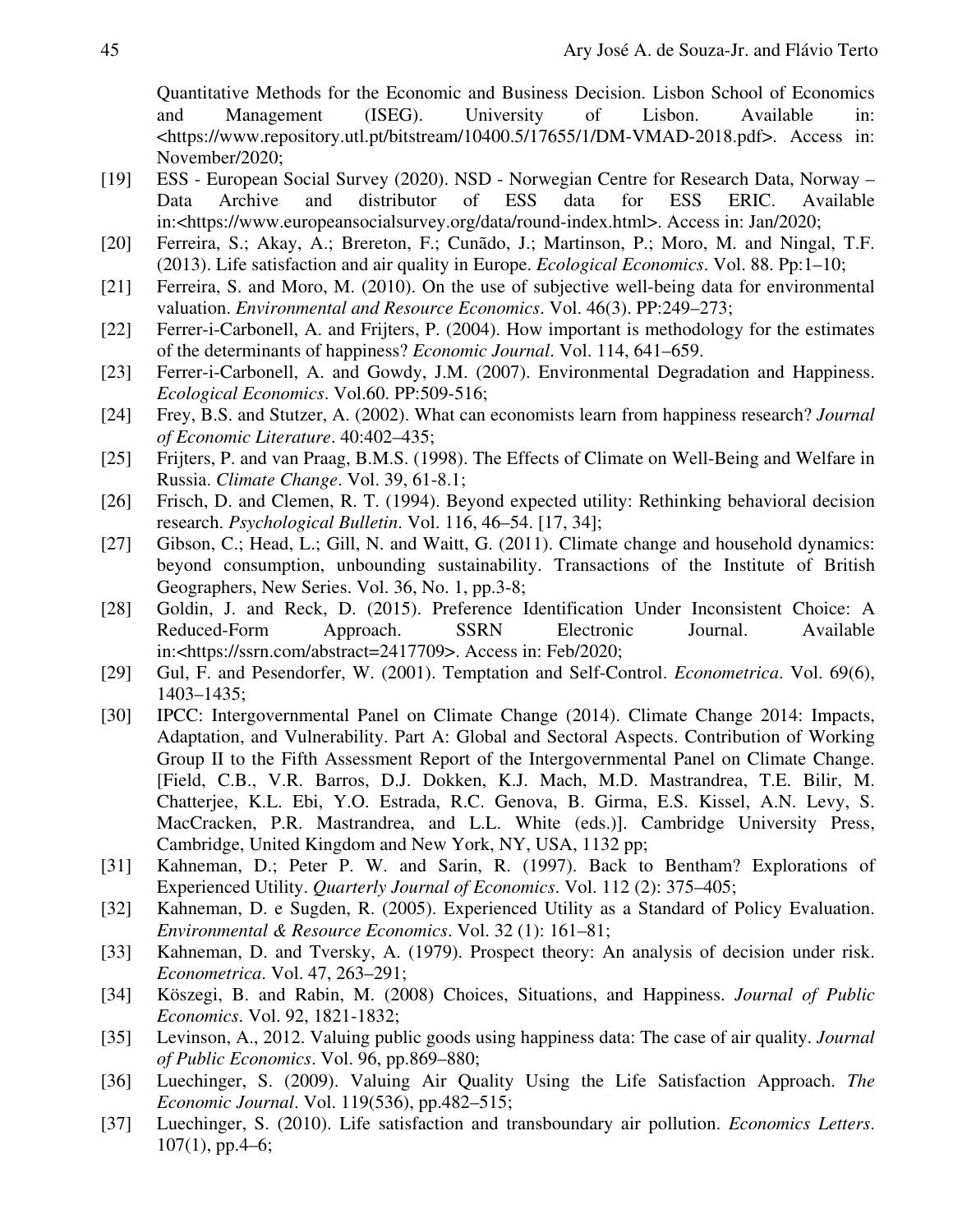Quantitative Methods for the Economic and Business Decision. Lisbon School of Economics and Management (ISEG). University of Lisbon. Available in: <https://www.repository.utl.pt/bitstream/10400.5/17655/1/DM-VMAD-2018.pdf>. Access in: November/2020;

- [19] ESS European Social Survey (2020). NSD Norwegian Centre for Research Data, Norway Data Archive and distributor of ESS data for ESS ERIC. Available in:<https://www.europeansocialsurvey.org/data/round-index.html>. Access in: Jan/2020;
- [20] Ferreira, S.; Akay, A.; Brereton, F.; Cunãdo, J.; Martinson, P.; Moro, M. and Ningal, T.F. (2013). Life satisfaction and air quality in Europe. *Ecological Economics*. Vol. 88. Pp:1–10;
- [21] Ferreira, S. and Moro, M. (2010). On the use of subjective well-being data for environmental valuation. *Environmental and Resource Economics*. Vol. 46(3). PP:249–273;
- [22] Ferrer-i-Carbonell, A. and Frijters, P. (2004). How important is methodology for the estimates of the determinants of happiness? *Economic Journal*. Vol. 114, 641–659.
- [23] Ferrer-i-Carbonell, A. and Gowdy, J.M. (2007). Environmental Degradation and Happiness. *Ecological Economics*. Vol.60. PP:509-516;
- [24] Frey, B.S. and Stutzer, A. (2002). What can economists learn from happiness research? *Journal of Economic Literature*. 40:402–435;
- [25] Frijters, P. and van Praag, B.M.S. (1998). The Effects of Climate on Well-Being and Welfare in Russia. *Climate Change*. Vol. 39, 61-8.1;
- [26] Frisch, D. and Clemen, R. T. (1994). Beyond expected utility: Rethinking behavioral decision research. *Psychological Bulletin*. Vol. 116, 46–54. [17, 34];
- [27] Gibson, C.; Head, L.; Gill, N. and Waitt, G. (2011). Climate change and household dynamics: beyond consumption, unbounding sustainability. Transactions of the Institute of British Geographers, New Series. Vol. 36, No. 1, pp.3-8;
- [28] Goldin, J. and Reck, D. (2015). Preference Identification Under Inconsistent Choice: A Reduced-Form Approach. SSRN Electronic Journal. Available in:<https://ssrn.com/abstract=2417709>. Access in: Feb/2020;
- [29] Gul, F. and Pesendorfer, W. (2001). Temptation and Self-Control. *Econometrica*. Vol. 69(6), 1403–1435;
- [30] IPCC: Intergovernmental Panel on Climate Change (2014). Climate Change 2014: Impacts, Adaptation, and Vulnerability. Part A: Global and Sectoral Aspects. Contribution of Working Group II to the Fifth Assessment Report of the Intergovernmental Panel on Climate Change. [Field, C.B., V.R. Barros, D.J. Dokken, K.J. Mach, M.D. Mastrandrea, T.E. Bilir, M. Chatterjee, K.L. Ebi, Y.O. Estrada, R.C. Genova, B. Girma, E.S. Kissel, A.N. Levy, S. MacCracken, P.R. Mastrandrea, and L.L. White (eds.)]. Cambridge University Press, Cambridge, United Kingdom and New York, NY, USA, 1132 pp;
- [31] Kahneman, D.; Peter P. W. and Sarin, R. (1997). Back to Bentham? Explorations of Experienced Utility. *Quarterly Journal of Economics*. Vol. 112 (2): 375–405;
- [32] Kahneman, D. e Sugden, R. (2005). Experienced Utility as a Standard of Policy Evaluation. *Environmental & Resource Economics*. Vol. 32 (1): 161–81;
- [33] Kahneman, D. and Tversky, A. (1979). Prospect theory: An analysis of decision under risk. *Econometrica*. Vol. 47, 263–291;
- [34] Köszegi, B. and Rabin, M. (2008) Choices, Situations, and Happiness. *Journal of Public Economics*. Vol. 92, 1821-1832;
- [35] Levinson, A., 2012. Valuing public goods using happiness data: The case of air quality. *Journal of Public Economics*. Vol. 96, pp.869–880;
- [36] Luechinger, S. (2009). Valuing Air Quality Using the Life Satisfaction Approach. *The Economic Journal*. Vol. 119(536), pp.482–515;
- [37] Luechinger, S. (2010). Life satisfaction and transboundary air pollution. *Economics Letters*.  $107(1)$ , pp.4–6;